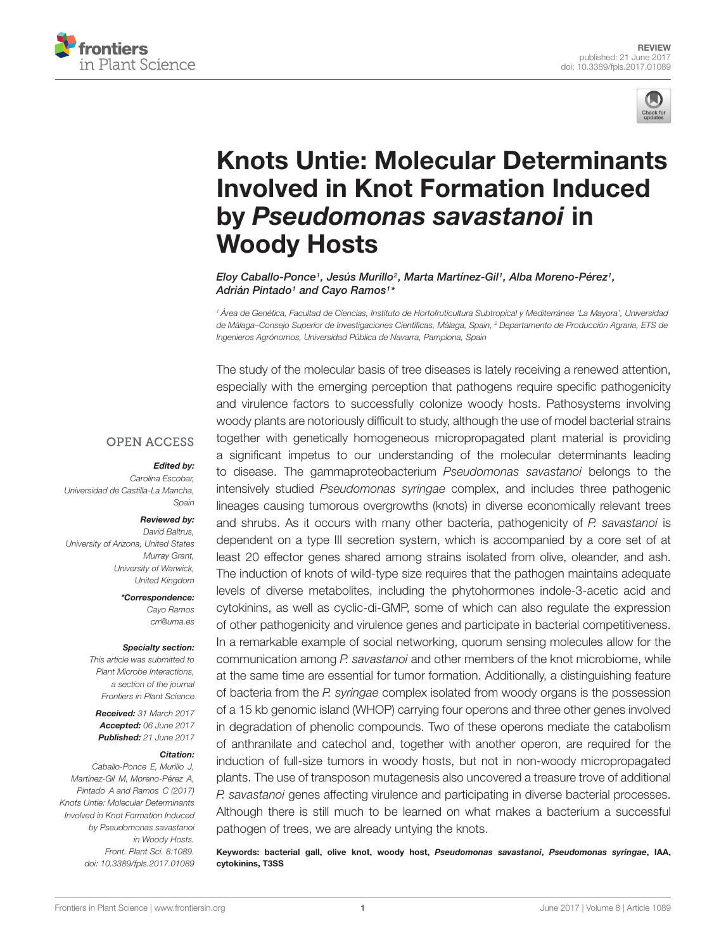



# [Knots Untie: Molecular Determinants](http://journal.frontiersin.org/article/10.3389/fpls.2017.01089/abstract) Involved in Knot Formation Induced by Pseudomonas savastanoi in Woody Hosts

[Eloy Caballo-Ponce](http://loop.frontiersin.org/people/423573/overview)1, [Jesús Murillo](http://loop.frontiersin.org/people/397033/overview)<sup>2</sup>, [Marta Martínez-Gil](http://loop.frontiersin.org/people/423617/overview)1, [Alba Moreno-Pérez](http://loop.frontiersin.org/people/417649/overview)1, [Adrián Pintado](http://loop.frontiersin.org/people/423549/overview)1 and [Cayo Ramos](http://loop.frontiersin.org/people/228842/overview)1\*

<sup>1</sup> Área de Genética, Facultad de Ciencias, Instituto de Hortofruticultura Subtropical y Mediterránea 'La Mayora', Universidad de Málaga–Consejo Superior de Investigaciones Científicas, Málaga, Spain, <sup>2</sup> Departamento de Producción Agraria, ETS de Ingenieros Agrónomos, Universidad Pública de Navarra, Pamplona, Spain

The study of the molecular basis of tree diseases is lately receiving a renewed attention,

**OPEN ACCESS** 

#### Edited by:

Carolina Escobar, Universidad de Castilla-La Mancha, Spain

#### Reviewed by:

David Baltrus, University of Arizona, United States Murray Grant, University of Warwick, United Kingdom

> \*Correspondence: Cayo Ramos crr@uma.es

#### Specialty section:

This article was submitted to Plant Microbe Interactions, a section of the journal Frontiers in Plant Science

Received: 31 March 2017 Accepted: 06 June 2017 Published: 21 June 2017

#### Citation:

Caballo-Ponce E, Murillo J, Martínez-Gil M, Moreno-Pérez A, Pintado A and Ramos C (2017) Knots Untie: Molecular Determinants Involved in Knot Formation Induced by Pseudomonas savastanoi in Woody Hosts. Front. Plant Sci. 8:1089. doi: [10.3389/fpls.2017.01089](https://doi.org/10.3389/fpls.2017.01089) especially with the emerging perception that pathogens require specific pathogenicity and virulence factors to successfully colonize woody hosts. Pathosystems involving woody plants are notoriously difficult to study, although the use of model bacterial strains together with genetically homogeneous micropropagated plant material is providing a significant impetus to our understanding of the molecular determinants leading to disease. The gammaproteobacterium Pseudomonas savastanoi belongs to the intensively studied Pseudomonas syringae complex, and includes three pathogenic lineages causing tumorous overgrowths (knots) in diverse economically relevant trees and shrubs. As it occurs with many other bacteria, pathogenicity of P. savastanoi is dependent on a type III secretion system, which is accompanied by a core set of at least 20 effector genes shared among strains isolated from olive, oleander, and ash. The induction of knots of wild-type size requires that the pathogen maintains adequate levels of diverse metabolites, including the phytohormones indole-3-acetic acid and cytokinins, as well as cyclic-di-GMP, some of which can also regulate the expression of other pathogenicity and virulence genes and participate in bacterial competitiveness. In a remarkable example of social networking, quorum sensing molecules allow for the communication among P. savastanoi and other members of the knot microbiome, while at the same time are essential for tumor formation. Additionally, a distinguishing feature of bacteria from the P. syringae complex isolated from woody organs is the possession of a 15 kb genomic island (WHOP) carrying four operons and three other genes involved in degradation of phenolic compounds. Two of these operons mediate the catabolism of anthranilate and catechol and, together with another operon, are required for the induction of full-size tumors in woody hosts, but not in non-woody micropropagated plants. The use of transposon mutagenesis also uncovered a treasure trove of additional P. savastanoi genes affecting virulence and participating in diverse bacterial processes. Although there is still much to be learned on what makes a bacterium a successful pathogen of trees, we are already untying the knots.

Keywords: bacterial gall, olive knot, woody host, Pseudomonas savastanoi, Pseudomonas syringae, IAA, cytokinins, T3SS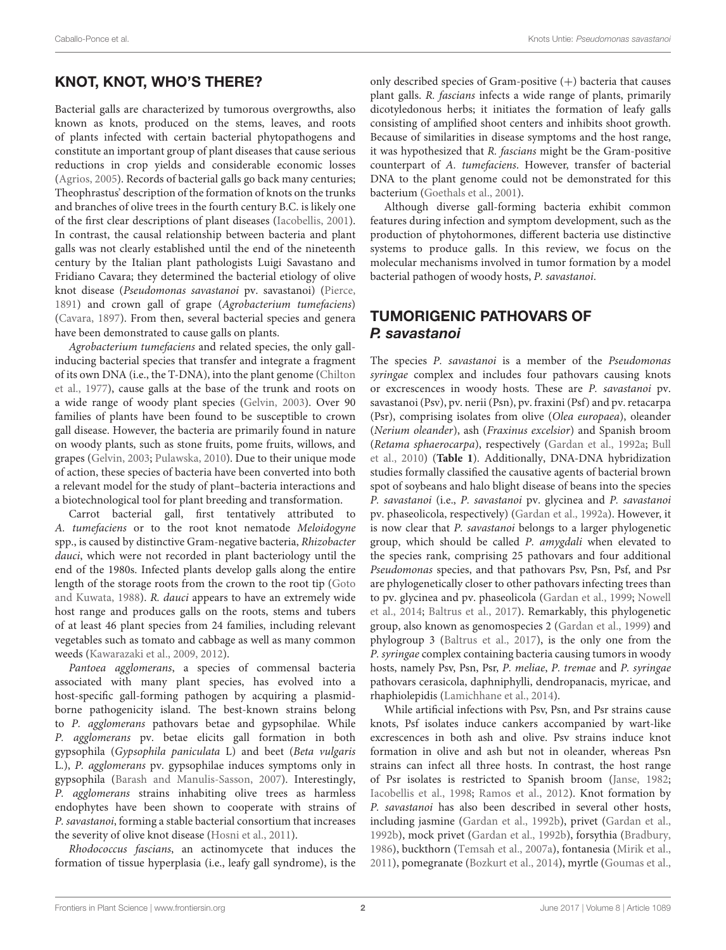# KNOT, KNOT, WHO'S THERE?

Bacterial galls are characterized by tumorous overgrowths, also known as knots, produced on the stems, leaves, and roots of plants infected with certain bacterial phytopathogens and constitute an important group of plant diseases that cause serious reductions in crop yields and considerable economic losses [\(Agrios, 2005\)](#page-11-0). Records of bacterial galls go back many centuries; Theophrastus' description of the formation of knots on the trunks and branches of olive trees in the fourth century B.C. is likely one of the first clear descriptions of plant diseases [\(Iacobellis, 2001\)](#page-13-0). In contrast, the causal relationship between bacteria and plant galls was not clearly established until the end of the nineteenth century by the Italian plant pathologists Luigi Savastano and Fridiano Cavara; they determined the bacterial etiology of olive knot disease (Pseudomonas savastanoi pv. savastanoi) [\(Pierce,](#page-14-0) [1891\)](#page-14-0) and crown gall of grape (Agrobacterium tumefaciens) [\(Cavara, 1897\)](#page-12-0). From then, several bacterial species and genera have been demonstrated to cause galls on plants.

Agrobacterium tumefaciens and related species, the only gallinducing bacterial species that transfer and integrate a fragment of its own DNA (i.e., the T-DNA), into the plant genome [\(Chilton](#page-12-1) [et al., 1977\)](#page-12-1), cause galls at the base of the trunk and roots on a wide range of woody plant species [\(Gelvin, 2003\)](#page-12-2). Over 90 families of plants have been found to be susceptible to crown gall disease. However, the bacteria are primarily found in nature on woody plants, such as stone fruits, pome fruits, willows, and grapes [\(Gelvin, 2003;](#page-12-2) [Pulawska, 2010\)](#page-14-1). Due to their unique mode of action, these species of bacteria have been converted into both a relevant model for the study of plant–bacteria interactions and a biotechnological tool for plant breeding and transformation.

Carrot bacterial gall, first tentatively attributed to A. tumefaciens or to the root knot nematode Meloidogyne spp., is caused by distinctive Gram-negative bacteria, Rhizobacter dauci, which were not recorded in plant bacteriology until the end of the 1980s. Infected plants develop galls along the entire length of the storage roots from the crown to the root tip [\(Goto](#page-12-3) [and Kuwata, 1988\)](#page-12-3). R. dauci appears to have an extremely wide host range and produces galls on the roots, stems and tubers of at least 46 plant species from 24 families, including relevant vegetables such as tomato and cabbage as well as many common weeds [\(Kawarazaki et al., 2009,](#page-13-1) [2012\)](#page-13-2).

Pantoea agglomerans, a species of commensal bacteria associated with many plant species, has evolved into a host-specific gall-forming pathogen by acquiring a plasmidborne pathogenicity island. The best-known strains belong to P. agglomerans pathovars betae and gypsophilae. While P. agglomerans pv. betae elicits gall formation in both gypsophila (Gypsophila paniculata L) and beet (Beta vulgaris L.), P. agglomerans pv. gypsophilae induces symptoms only in gypsophila [\(Barash and Manulis-Sasson, 2007\)](#page-11-1). Interestingly, P. agglomerans strains inhabiting olive trees as harmless endophytes have been shown to cooperate with strains of P. savastanoi, forming a stable bacterial consortium that increases the severity of olive knot disease [\(Hosni et al., 2011\)](#page-12-4).

Rhodococcus fascians, an actinomycete that induces the formation of tissue hyperplasia (i.e., leafy gall syndrome), is the only described species of Gram-positive  $(+)$  bacteria that causes plant galls. R. fascians infects a wide range of plants, primarily dicotyledonous herbs; it initiates the formation of leafy galls consisting of amplified shoot centers and inhibits shoot growth. Because of similarities in disease symptoms and the host range, it was hypothesized that R. fascians might be the Gram-positive counterpart of A. tumefaciens. However, transfer of bacterial DNA to the plant genome could not be demonstrated for this bacterium [\(Goethals et al., 2001\)](#page-12-5).

Although diverse gall-forming bacteria exhibit common features during infection and symptom development, such as the production of phytohormones, different bacteria use distinctive systems to produce galls. In this review, we focus on the molecular mechanisms involved in tumor formation by a model bacterial pathogen of woody hosts, P. savastanoi.

# TUMORIGENIC PATHOVARS OF P. savastanoi

The species P. savastanoi is a member of the Pseudomonas syringae complex and includes four pathovars causing knots or excrescences in woody hosts. These are P. savastanoi pv. savastanoi (Psv), pv. nerii (Psn), pv. fraxini (Psf) and pv. retacarpa (Psr), comprising isolates from olive (Olea europaea), oleander (Nerium oleander), ash (Fraxinus excelsior) and Spanish broom (Retama sphaerocarpa), respectively [\(Gardan et al., 1992a;](#page-12-6) [Bull](#page-11-2) [et al., 2010\)](#page-11-2) (**[Table 1](#page-2-0)**). Additionally, DNA-DNA hybridization studies formally classified the causative agents of bacterial brown spot of soybeans and halo blight disease of beans into the species P. savastanoi (i.e., P. savastanoi pv. glycinea and P. savastanoi pv. phaseolicola, respectively) [\(Gardan et al., 1992a\)](#page-12-6). However, it is now clear that P. savastanoi belongs to a larger phylogenetic group, which should be called P. amygdali when elevated to the species rank, comprising 25 pathovars and four additional Pseudomonas species, and that pathovars Psv, Psn, Psf, and Psr are phylogenetically closer to other pathovars infecting trees than to pv. glycinea and pv. phaseolicola [\(Gardan et al., 1999;](#page-12-7) [Nowell](#page-13-3) [et al., 2014;](#page-13-3) [Baltrus et al., 2017\)](#page-11-3). Remarkably, this phylogenetic group, also known as genomospecies 2 [\(Gardan et al., 1999\)](#page-12-7) and phylogroup 3 [\(Baltrus et al., 2017\)](#page-11-3), is the only one from the P. syringae complex containing bacteria causing tumors in woody hosts, namely Psv, Psn, Psr, P. meliae, P. tremae and P. syringae pathovars cerasicola, daphniphylli, dendropanacis, myricae, and rhaphiolepidis [\(Lamichhane et al., 2014\)](#page-13-4).

While artificial infections with Psv, Psn, and Psr strains cause knots, Psf isolates induce cankers accompanied by wart-like excrescences in both ash and olive. Psv strains induce knot formation in olive and ash but not in oleander, whereas Psn strains can infect all three hosts. In contrast, the host range of Psr isolates is restricted to Spanish broom [\(Janse, 1982;](#page-13-5) [Iacobellis et al., 1998;](#page-13-6) [Ramos et al., 2012\)](#page-14-2). Knot formation by P. savastanoi has also been described in several other hosts, including jasmine [\(Gardan et al., 1992b\)](#page-12-8), privet [\(Gardan et al.,](#page-12-8) [1992b\)](#page-12-8), mock privet [\(Gardan et al., 1992b\)](#page-12-8), forsythia [\(Bradbury,](#page-11-4) [1986\)](#page-11-4), buckthorn [\(Temsah et al., 2007a\)](#page-15-0), fontanesia [\(Mirik et al.,](#page-13-7) [2011\)](#page-13-7), pomegranate [\(Bozkurt et al., 2014\)](#page-11-5), myrtle [\(Goumas et al.,](#page-12-9)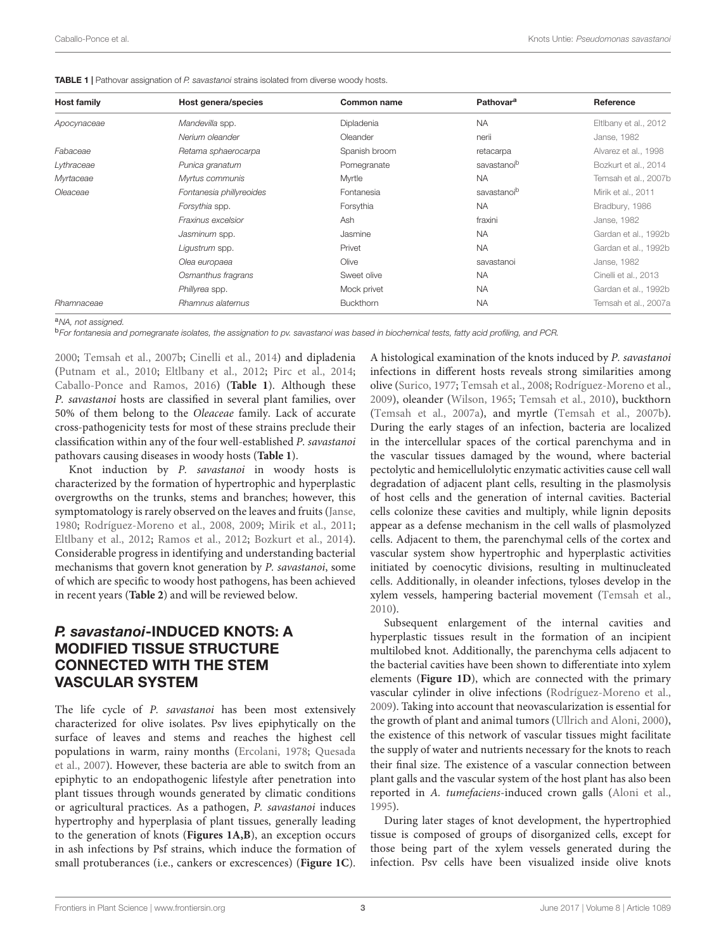| <b>Host family</b> | Host genera/species      | Common name      | Pathovar <sup>a</sup>   | Reference             |  |
|--------------------|--------------------------|------------------|-------------------------|-----------------------|--|
| Apocynaceae        | Mandevilla spp.          | Dipladenia       | <b>NA</b>               | Eltibany et al., 2012 |  |
|                    | Nerium oleander          | Oleander         | nerii                   | Janse, 1982           |  |
| Fabaceae           | Retama sphaerocarpa      | Spanish broom    | retacarpa               | Alvarez et al., 1998  |  |
| Lythraceae         | Punica granatum          | Pomegranate      | savastanoib             | Bozkurt et al., 2014  |  |
| Myrtaceae          | Myrtus communis          | Myrtle           | <b>NA</b>               | Temsah et al., 2007b  |  |
| Oleaceae           | Fontanesia phillyreoides | Fontanesia       | savastanoi <sup>b</sup> | Mirik et al., 2011    |  |
|                    | Forsythia spp.           | Forsythia        | <b>NA</b>               | Bradbury, 1986        |  |
|                    | Fraxinus excelsior       | Ash              | fraxini                 | Janse, 1982           |  |
|                    | Jasminum spp.            | Jasmine          | <b>NA</b>               | Gardan et al., 1992b  |  |
|                    | Ligustrum spp.           | Privet           | <b>NA</b>               | Gardan et al., 1992b  |  |
|                    | Olea europaea            | Olive            | savastanoi              | Janse, 1982           |  |
|                    | Osmanthus fragrans       | Sweet olive      | <b>NA</b>               | Cinelli et al., 2013  |  |
|                    | Phillyrea spp.           | Mock privet      | <b>NA</b>               | Gardan et al., 1992b  |  |
| Rhamnaceae         | Rhamnus alaternus        | <b>Buckthorn</b> | <b>NA</b>               | Temsah et al., 2007a  |  |

<span id="page-2-0"></span>**TABLE 1** | Pathovar assignation of P. savastanoi strains isolated from diverse woody hosts.

a<sub>NA</sub>, not assigned.

bFor fontanesia and pomegranate isolates, the assignation to pv. savastanoi was based in biochemical tests, fatty acid profiling, and PCR.

[2000;](#page-12-9) [Temsah et al., 2007b;](#page-15-1) [Cinelli et al., 2014\)](#page-12-12) and dipladenia [\(Putnam et al., 2010;](#page-14-3) [Eltlbany et al., 2012;](#page-12-10) [Pirc et al., 2014;](#page-14-4) [Caballo-Ponce and Ramos, 2016\)](#page-11-7) (**[Table 1](#page-2-0)**). Although these P. savastanoi hosts are classified in several plant families, over 50% of them belong to the Oleaceae family. Lack of accurate cross-pathogenicity tests for most of these strains preclude their classification within any of the four well-established P. savastanoi pathovars causing diseases in woody hosts (**[Table 1](#page-2-0)**).

Knot induction by P. savastanoi in woody hosts is characterized by the formation of hypertrophic and hyperplastic overgrowths on the trunks, stems and branches; however, this symptomatology is rarely observed on the leaves and fruits [\(Janse,](#page-13-8) [1980;](#page-13-8) [Rodríguez-Moreno et al., 2008,](#page-14-5) [2009;](#page-14-6) [Mirik et al., 2011;](#page-13-7) [Eltlbany et al., 2012;](#page-12-10) [Ramos et al., 2012;](#page-14-2) [Bozkurt et al., 2014\)](#page-11-5). Considerable progress in identifying and understanding bacterial mechanisms that govern knot generation by P. savastanoi, some of which are specific to woody host pathogens, has been achieved in recent years (**[Table 2](#page-3-0)**) and will be reviewed below.

### P. savastanoi-INDUCED KNOTS: A MODIFIED TISSUE STRUCTURE CONNECTED WITH THE STEM VASCULAR SYSTEM

The life cycle of P. savastanoi has been most extensively characterized for olive isolates. Psv lives epiphytically on the surface of leaves and stems and reaches the highest cell populations in warm, rainy months [\(Ercolani, 1978;](#page-12-13) [Quesada](#page-14-7) [et al., 2007\)](#page-14-7). However, these bacteria are able to switch from an epiphytic to an endopathogenic lifestyle after penetration into plant tissues through wounds generated by climatic conditions or agricultural practices. As a pathogen, P. savastanoi induces hypertrophy and hyperplasia of plant tissues, generally leading to the generation of knots (**[Figures 1A,B](#page-4-0)**), an exception occurs in ash infections by Psf strains, which induce the formation of small protuberances (i.e., cankers or excrescences) (**[Figure 1C](#page-4-0)**).

A histological examination of the knots induced by P. savastanoi infections in different hosts reveals strong similarities among olive [\(Surico, 1977;](#page-14-8) [Temsah et al., 2008;](#page-15-2) [Rodríguez-Moreno et al.,](#page-14-6) [2009\)](#page-14-6), oleander [\(Wilson, 1965;](#page-15-3) [Temsah et al., 2010\)](#page-15-4), buckthorn [\(Temsah et al., 2007a\)](#page-15-0), and myrtle [\(Temsah et al., 2007b\)](#page-15-1). During the early stages of an infection, bacteria are localized in the intercellular spaces of the cortical parenchyma and in the vascular tissues damaged by the wound, where bacterial pectolytic and hemicellulolytic enzymatic activities cause cell wall degradation of adjacent plant cells, resulting in the plasmolysis of host cells and the generation of internal cavities. Bacterial cells colonize these cavities and multiply, while lignin deposits appear as a defense mechanism in the cell walls of plasmolyzed cells. Adjacent to them, the parenchymal cells of the cortex and vascular system show hypertrophic and hyperplastic activities initiated by coenocytic divisions, resulting in multinucleated cells. Additionally, in oleander infections, tyloses develop in the xylem vessels, hampering bacterial movement [\(Temsah et al.,](#page-15-4) [2010\)](#page-15-4).

Subsequent enlargement of the internal cavities and hyperplastic tissues result in the formation of an incipient multilobed knot. Additionally, the parenchyma cells adjacent to the bacterial cavities have been shown to differentiate into xylem elements (**[Figure 1D](#page-4-0)**), which are connected with the primary vascular cylinder in olive infections [\(Rodríguez-Moreno et al.,](#page-14-6) [2009\)](#page-14-6). Taking into account that neovascularization is essential for the growth of plant and animal tumors [\(Ullrich and Aloni, 2000\)](#page-15-5), the existence of this network of vascular tissues might facilitate the supply of water and nutrients necessary for the knots to reach their final size. The existence of a vascular connection between plant galls and the vascular system of the host plant has also been reported in A. tumefaciens-induced crown galls [\(Aloni et al.,](#page-11-8) [1995\)](#page-11-8).

During later stages of knot development, the hypertrophied tissue is composed of groups of disorganized cells, except for those being part of the xylem vessels generated during the infection. Psv cells have been visualized inside olive knots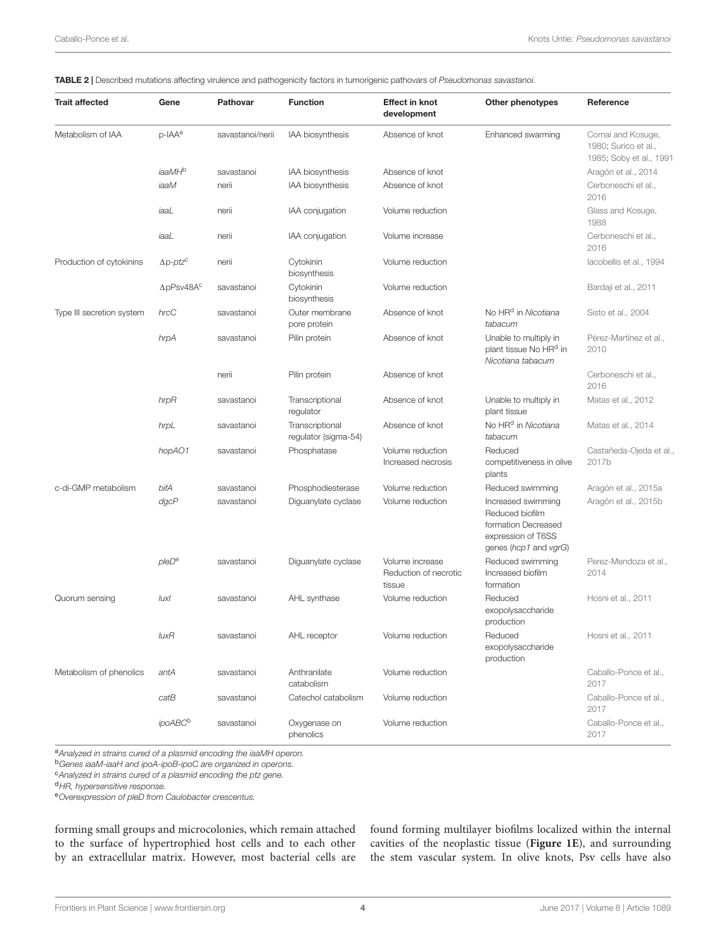<span id="page-3-0"></span>TABLE 2 | Described mutations affecting virulence and pathogenicity factors in tumorigenic pathovars of Pseudomonas savastanoi.

| <b>Trait affected</b>     | Gene                          | <b>Pathovar</b>  | <b>Function</b>                         | <b>Effect in knot</b><br>development               | Other phenotypes                                                                                            | Reference                                                            |
|---------------------------|-------------------------------|------------------|-----------------------------------------|----------------------------------------------------|-------------------------------------------------------------------------------------------------------------|----------------------------------------------------------------------|
| Metabolism of IAA         | p-IAA <sup>a</sup>            | savastanoi/nerii | IAA biosynthesis                        | Absence of knot                                    | Enhanced swarming                                                                                           | Comai and Kosuge,<br>1980; Surico et al.,<br>1985; Soby et al., 1991 |
|                           | iaaMH <sup>b</sup>            | savastanoi       | IAA biosynthesis                        | Absence of knot                                    |                                                                                                             | Aragón et al., 2014                                                  |
|                           | iaaM                          | nerii            | IAA biosynthesis                        | Absence of knot                                    |                                                                                                             | Cerboneschi et al.,<br>2016                                          |
|                           | iaaL                          | nerii            | IAA conjugation                         | Volume reduction                                   |                                                                                                             | Glass and Kosuge,<br>1988                                            |
|                           | iaaL                          | nerii            | IAA conjugation                         | Volume increase                                    |                                                                                                             | Cerboneschi et al.,<br>2016                                          |
| Production of cytokinins  | $\Delta p$ -ptz <sup>c</sup>  | nerii            | Cytokinin<br>biosynthesis               | Volume reduction                                   |                                                                                                             | lacobellis et al., 1994                                              |
|                           | $\Delta$ pPsv48A <sup>c</sup> | savastanoi       | Cytokinin<br>biosynthesis               | Volume reduction                                   |                                                                                                             | Bardaji et al., 2011                                                 |
| Type III secretion system | hrcC                          | savastanoi       | Outer membrane<br>pore protein          | Absence of knot                                    | No HR <sup>d</sup> in Nicotiana<br>tabacum                                                                  | Sisto et al., 2004                                                   |
|                           | hrpA                          | savastanoi       | Pilin protein                           | Absence of knot                                    | Unable to multiply in<br>plant tissue No HR <sup>d</sup> in<br>Nicotiana tabacum                            | Pérez-Martínez et al.,<br>2010                                       |
|                           |                               | nerii            | Pilin protein                           | Absence of knot                                    |                                                                                                             | Cerboneschi et al.,<br>2016                                          |
|                           | hrpR                          | savastanoi       | Transcriptional<br>regulator            | Absence of knot                                    | Unable to multiply in<br>plant tissue                                                                       | Matas et al., 2012                                                   |
|                           | hrpL                          | savastanoi       | Transcriptional<br>regulator (sigma-54) | Absence of knot                                    | No HR <sup>d</sup> in Nicotiana<br>tabacum                                                                  | Matas et al., 2014                                                   |
|                           | hopAO1                        | savastanoi       | Phosphatase                             | Volume reduction<br>Increased necrosis             | Reduced<br>competitiveness in olive<br>plants                                                               | Castañeda-Ojeda et al.,<br>2017b                                     |
| c-di-GMP metabolism       | bifA                          | savastanoi       | Phosphodiesterase                       | Volume reduction                                   | Reduced swimming                                                                                            | Aragón et al., 2015a                                                 |
|                           | dgcP                          | savastanoi       | Diguanylate cyclase                     | Volume reduction                                   | Increased swimming<br>Reduced biofilm<br>formation Decreased<br>expression of T6SS<br>genes (hcp1 and vgrG) | Aragón et al., 2015b                                                 |
|                           | pleD <sup>e</sup>             | savastanoi       | Diquanylate cyclase                     | Volume increase<br>Reduction of necrotic<br>tissue | Reduced swimming<br>Increased biofilm<br>formation                                                          | Perez-Mendoza et al.,<br>2014                                        |
| Quorum sensing            | luxl                          | savastanoi       | AHL synthase                            | Volume reduction                                   | Reduced<br>exopolysaccharide<br>production                                                                  | Hosni et al., 2011                                                   |
|                           | $l$ ux $R$                    | savastanoi       | AHL receptor                            | Volume reduction                                   | Reduced<br>exopolysaccharide<br>production                                                                  | Hosni et al., 2011                                                   |
| Metabolism of phenolics   | antA                          | savastanoi       | Anthranilate<br>catabolism              | Volume reduction                                   |                                                                                                             | Caballo-Ponce et al.,<br>2017                                        |
|                           | catB                          | savastanoi       | Catechol catabolism                     | Volume reduction                                   |                                                                                                             | Caballo-Ponce et al<br>2017                                          |
|                           | ipoABC <sup>b</sup>           | savastanoi       | Oxygenase on<br>phenolics               | Volume reduction                                   |                                                                                                             | Caballo-Ponce et al.,<br>2017                                        |

a Analyzed in strains cured of a plasmid encoding the iaaMH operon.

<sup>b</sup>Genes iaaM-iaaH and ipoA-ipoB-ipoC are organized in operons.

<sup>c</sup>Analyzed in strains cured of a plasmid encoding the ptz gene.

<sup>d</sup>HR, hypersensitive response.

eOverexpression of pleD from Caulobacter crescentus.

forming small groups and microcolonies, which remain attached to the surface of hypertrophied host cells and to each other by an extracellular matrix. However, most bacterial cells are found forming multilayer biofilms localized within the internal cavities of the neoplastic tissue (**[Figure 1E](#page-4-0)**), and surrounding the stem vascular system. In olive knots, Psv cells have also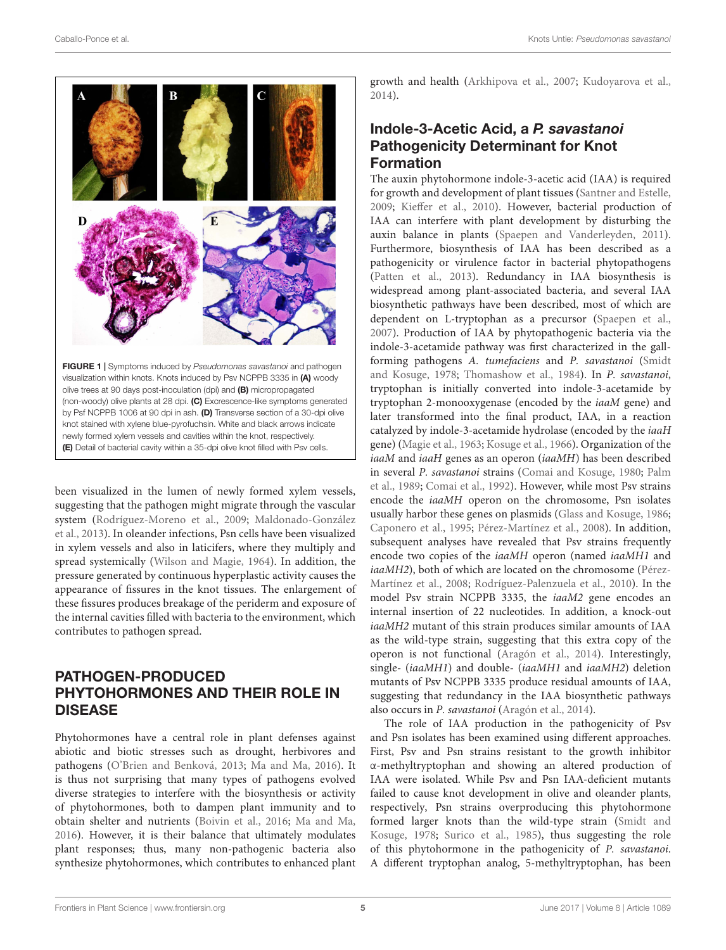

<span id="page-4-0"></span>been visualized in the lumen of newly formed xylem vessels, suggesting that the pathogen might migrate through the vascular system [\(Rodríguez-Moreno et al., 2009;](#page-14-6) [Maldonado-González](#page-13-12) [et al., 2013\)](#page-13-12). In oleander infections, Psn cells have been visualized in xylem vessels and also in laticifers, where they multiply and spread systemically [\(Wilson and Magie, 1964\)](#page-15-6). In addition, the pressure generated by continuous hyperplastic activity causes the appearance of fissures in the knot tissues. The enlargement of these fissures produces breakage of the periderm and exposure of the internal cavities filled with bacteria to the environment, which contributes to pathogen spread.

## PATHOGEN-PRODUCED PHYTOHORMONES AND THEIR ROLE IN DISEASE

Phytohormones have a central role in plant defenses against abiotic and biotic stresses such as drought, herbivores and pathogens [\(O'Brien and Benková, 2013;](#page-13-13) [Ma and Ma, 2016\)](#page-13-14). It is thus not surprising that many types of pathogens evolved diverse strategies to interfere with the biosynthesis or activity of phytohormones, both to dampen plant immunity and to obtain shelter and nutrients [\(Boivin et al., 2016;](#page-11-13) [Ma and Ma,](#page-13-14) [2016\)](#page-13-14). However, it is their balance that ultimately modulates plant responses; thus, many non-pathogenic bacteria also synthesize phytohormones, which contributes to enhanced plant

growth and health [\(Arkhipova et al., 2007;](#page-11-14) [Kudoyarova et al.,](#page-13-15) [2014\)](#page-13-15).

### Indole-3-Acetic Acid, a P. savastanoi Pathogenicity Determinant for Knot Formation

The auxin phytohormone indole-3-acetic acid (IAA) is required for growth and development of plant tissues [\(Santner and Estelle,](#page-14-14) [2009;](#page-14-14) [Kieffer et al., 2010\)](#page-13-16). However, bacterial production of IAA can interfere with plant development by disturbing the auxin balance in plants [\(Spaepen and Vanderleyden, 2011\)](#page-14-15). Furthermore, biosynthesis of IAA has been described as a pathogenicity or virulence factor in bacterial phytopathogens [\(Patten et al., 2013\)](#page-14-16). Redundancy in IAA biosynthesis is widespread among plant-associated bacteria, and several IAA biosynthetic pathways have been described, most of which are dependent on L-tryptophan as a precursor [\(Spaepen et al.,](#page-14-17) [2007\)](#page-14-17). Production of IAA by phytopathogenic bacteria via the indole-3-acetamide pathway was first characterized in the gallforming pathogens A. tumefaciens and P. savastanoi [\(Smidt](#page-14-18) [and Kosuge, 1978;](#page-14-18) [Thomashow et al., 1984\)](#page-15-7). In P. savastanoi, tryptophan is initially converted into indole-3-acetamide by tryptophan 2-monooxygenase (encoded by the iaaM gene) and later transformed into the final product, IAA, in a reaction catalyzed by indole-3-acetamide hydrolase (encoded by the iaaH gene) [\(Magie et al., 1963;](#page-13-17) [Kosuge et al., 1966\)](#page-13-18). Organization of the iaaM and iaaH genes as an operon (iaaMH) has been described in several P. savastanoi strains [\(Comai and Kosuge, 1980;](#page-12-14) [Palm](#page-14-19) [et al., 1989;](#page-14-19) [Comai et al., 1992\)](#page-12-19). However, while most Psv strains encode the iaaMH operon on the chromosome, Psn isolates usually harbor these genes on plasmids [\(Glass and Kosuge, 1986;](#page-12-20) [Caponero et al., 1995;](#page-12-21) [Pérez-Martínez et al., 2008\)](#page-14-20). In addition, subsequent analyses have revealed that Psv strains frequently encode two copies of the iaaMH operon (named iaaMH1 and iaaMH2), both of which are located on the chromosome [\(Pérez-](#page-14-20)[Martínez et al., 2008;](#page-14-20) [Rodríguez-Palenzuela et al., 2010\)](#page-14-21). In the model Psv strain NCPPB 3335, the iaaM2 gene encodes an internal insertion of 22 nucleotides. In addition, a knock-out iaaMH2 mutant of this strain produces similar amounts of IAA as the wild-type strain, suggesting that this extra copy of the operon is not functional [\(Aragón et al., 2014\)](#page-11-9). Interestingly, single- (iaaMH1) and double- (iaaMH1 and iaaMH2) deletion mutants of Psv NCPPB 3335 produce residual amounts of IAA, suggesting that redundancy in the IAA biosynthetic pathways also occurs in P. savastanoi [\(Aragón et al., 2014\)](#page-11-9).

The role of IAA production in the pathogenicity of Psv and Psn isolates has been examined using different approaches. First, Psv and Psn strains resistant to the growth inhibitor α-methyltryptophan and showing an altered production of IAA were isolated. While Psv and Psn IAA-deficient mutants failed to cause knot development in olive and oleander plants, respectively, Psn strains overproducing this phytohormone formed larger knots than the wild-type strain [\(Smidt and](#page-14-18) [Kosuge, 1978;](#page-14-18) [Surico et al., 1985\)](#page-14-9), thus suggesting the role of this phytohormone in the pathogenicity of P. savastanoi. A different tryptophan analog, 5-methyltryptophan, has been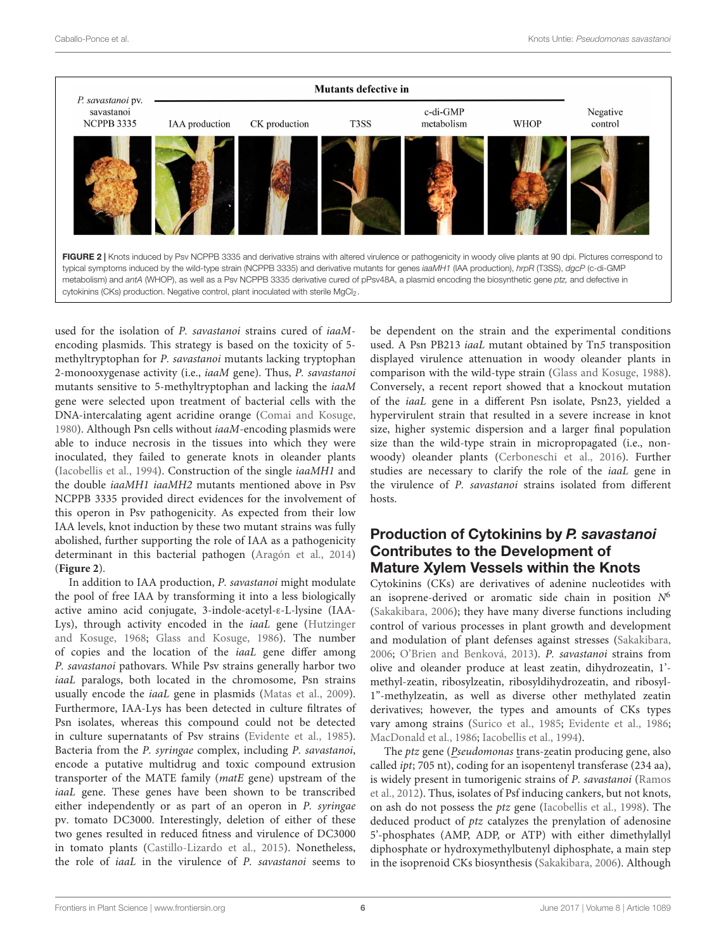

<span id="page-5-0"></span>used for the isolation of P. savastanoi strains cured of iaaMencoding plasmids. This strategy is based on the toxicity of 5 methyltryptophan for P. savastanoi mutants lacking tryptophan 2-monooxygenase activity (i.e., iaaM gene). Thus, P. savastanoi mutants sensitive to 5-methyltryptophan and lacking the iaaM gene were selected upon treatment of bacterial cells with the DNA-intercalating agent acridine orange [\(Comai and Kosuge,](#page-12-14) [1980\)](#page-12-14). Although Psn cells without iaaM-encoding plasmids were able to induce necrosis in the tissues into which they were inoculated, they failed to generate knots in oleander plants [\(Iacobellis et al., 1994\)](#page-13-9). Construction of the single iaaMH1 and the double iaaMH1 iaaMH2 mutants mentioned above in Psv NCPPB 3335 provided direct evidences for the involvement of this operon in Psv pathogenicity. As expected from their low IAA levels, knot induction by these two mutant strains was fully abolished, further supporting the role of IAA as a pathogenicity determinant in this bacterial pathogen [\(Aragón et al., 2014\)](#page-11-9) (**[Figure 2](#page-5-0)**).

In addition to IAA production, P. savastanoi might modulate the pool of free IAA by transforming it into a less biologically active amino acid conjugate, 3-indole-acetyl-ε-L-lysine (IAA-Lys), through activity encoded in the iaaL gene [\(Hutzinger](#page-13-19) [and Kosuge, 1968;](#page-13-19) [Glass and Kosuge, 1986\)](#page-12-20). The number of copies and the location of the iaaL gene differ among P. savastanoi pathovars. While Psv strains generally harbor two iaaL paralogs, both located in the chromosome, Psn strains usually encode the iaaL gene in plasmids [\(Matas et al., 2009\)](#page-13-20). Furthermore, IAA-Lys has been detected in culture filtrates of Psn isolates, whereas this compound could not be detected in culture supernatants of Psv strains [\(Evidente et al., 1985\)](#page-12-22). Bacteria from the P. syringae complex, including P. savastanoi, encode a putative multidrug and toxic compound extrusion transporter of the MATE family (matE gene) upstream of the iaaL gene. These genes have been shown to be transcribed either independently or as part of an operon in P. syringae pv. tomato DC3000. Interestingly, deletion of either of these two genes resulted in reduced fitness and virulence of DC3000 in tomato plants [\(Castillo-Lizardo et al., 2015\)](#page-12-23). Nonetheless, the role of iaaL in the virulence of P. savastanoi seems to

be dependent on the strain and the experimental conditions used. A Psn PB213 iaaL mutant obtained by Tn5 transposition displayed virulence attenuation in woody oleander plants in comparison with the wild-type strain [\(Glass and Kosuge, 1988\)](#page-12-16). Conversely, a recent report showed that a knockout mutation of the iaaL gene in a different Psn isolate, Psn23, yielded a hypervirulent strain that resulted in a severe increase in knot size, higher systemic dispersion and a larger final population size than the wild-type strain in micropropagated (i.e., nonwoody) oleander plants [\(Cerboneschi et al., 2016\)](#page-12-15). Further studies are necessary to clarify the role of the iaaL gene in the virulence of P. savastanoi strains isolated from different hosts

#### Production of Cytokinins by P. savastanoi Contributes to the Development of Mature Xylem Vessels within the Knots

Cytokinins (CKs) are derivatives of adenine nucleotides with an isoprene-derived or aromatic side chain in position  $N^6$ [\(Sakakibara, 2006\)](#page-14-22); they have many diverse functions including control of various processes in plant growth and development and modulation of plant defenses against stresses [\(Sakakibara,](#page-14-22) [2006;](#page-14-22) [O'Brien and Benková, 2013\)](#page-13-13). P. savastanoi strains from olive and oleander produce at least zeatin, dihydrozeatin, 1' methyl-zeatin, ribosylzeatin, ribosyldihydrozeatin, and ribosyl-1"-methylzeatin, as well as diverse other methylated zeatin derivatives; however, the types and amounts of CKs types vary among strains [\(Surico et al., 1985;](#page-14-9) [Evidente et al., 1986;](#page-12-24) [MacDonald et al., 1986;](#page-13-21) [Iacobellis et al., 1994\)](#page-13-9).

The *ptz* gene (*Pseudomonas* trans-zeatin producing gene, also called ipt; 705 nt), coding for an isopentenyl transferase (234 aa), is widely present in tumorigenic strains of P. savastanoi [\(Ramos](#page-14-2) [et al., 2012\)](#page-14-2). Thus, isolates of Psf inducing cankers, but not knots, on ash do not possess the ptz gene [\(Iacobellis et al., 1998\)](#page-13-6). The deduced product of ptz catalyzes the prenylation of adenosine 5'-phosphates (AMP, ADP, or ATP) with either dimethylallyl diphosphate or hydroxymethylbutenyl diphosphate, a main step in the isoprenoid CKs biosynthesis [\(Sakakibara, 2006\)](#page-14-22). Although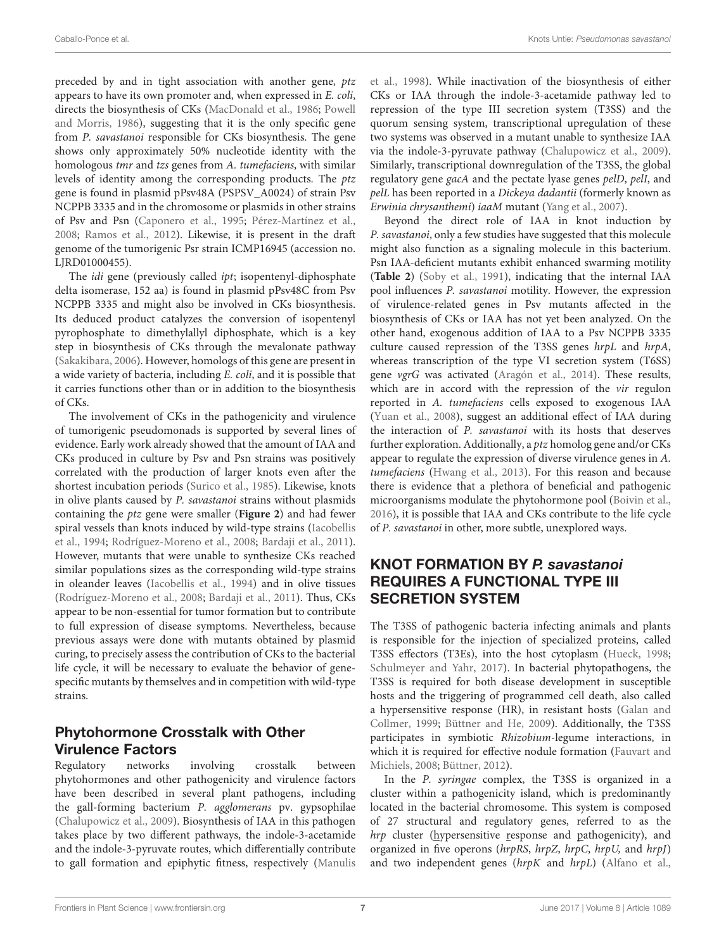preceded by and in tight association with another gene, ptz appears to have its own promoter and, when expressed in E. coli, directs the biosynthesis of CKs [\(MacDonald et al., 1986;](#page-13-21) [Powell](#page-14-23) [and Morris, 1986\)](#page-14-23), suggesting that it is the only specific gene from P. savastanoi responsible for CKs biosynthesis. The gene shows only approximately 50% nucleotide identity with the homologous tmr and tzs genes from A. tumefaciens, with similar levels of identity among the corresponding products. The ptz gene is found in plasmid pPsv48A (PSPSV\_A0024) of strain Psv NCPPB 3335 and in the chromosome or plasmids in other strains of Psv and Psn [\(Caponero et al., 1995;](#page-12-21) [Pérez-Martínez et al.,](#page-14-20) [2008;](#page-14-20) [Ramos et al., 2012\)](#page-14-2). Likewise, it is present in the draft genome of the tumorigenic Psr strain ICMP16945 (accession no. LJRD01000455).

The idi gene (previously called ipt; isopentenyl-diphosphate delta isomerase, 152 aa) is found in plasmid pPsv48C from Psv NCPPB 3335 and might also be involved in CKs biosynthesis. Its deduced product catalyzes the conversion of isopentenyl pyrophosphate to dimethylallyl diphosphate, which is a key step in biosynthesis of CKs through the mevalonate pathway [\(Sakakibara, 2006\)](#page-14-22). However, homologs of this gene are present in a wide variety of bacteria, including E. coli, and it is possible that it carries functions other than or in addition to the biosynthesis of CKs.

The involvement of CKs in the pathogenicity and virulence of tumorigenic pseudomonads is supported by several lines of evidence. Early work already showed that the amount of IAA and CKs produced in culture by Psv and Psn strains was positively correlated with the production of larger knots even after the shortest incubation periods [\(Surico et al., 1985\)](#page-14-9). Likewise, knots in olive plants caused by P. savastanoi strains without plasmids containing the ptz gene were smaller (**[Figure 2](#page-5-0)**) and had fewer spiral vessels than knots induced by wild-type strains [\(Iacobellis](#page-13-9) [et al., 1994;](#page-13-9) [Rodríguez-Moreno et al., 2008;](#page-14-5) [Bardaji et al., 2011\)](#page-11-10). However, mutants that were unable to synthesize CKs reached similar populations sizes as the corresponding wild-type strains in oleander leaves [\(Iacobellis et al., 1994\)](#page-13-9) and in olive tissues [\(Rodríguez-Moreno et al., 2008;](#page-14-5) [Bardaji et al., 2011\)](#page-11-10). Thus, CKs appear to be non-essential for tumor formation but to contribute to full expression of disease symptoms. Nevertheless, because previous assays were done with mutants obtained by plasmid curing, to precisely assess the contribution of CKs to the bacterial life cycle, it will be necessary to evaluate the behavior of genespecific mutants by themselves and in competition with wild-type strains.

## Phytohormone Crosstalk with Other Virulence Factors

Regulatory networks involving crosstalk between phytohormones and other pathogenicity and virulence factors have been described in several plant pathogens, including the gall-forming bacterium P. agglomerans pv. gypsophilae [\(Chalupowicz et al., 2009\)](#page-12-25). Biosynthesis of IAA in this pathogen takes place by two different pathways, the indole-3-acetamide and the indole-3-pyruvate routes, which differentially contribute to gall formation and epiphytic fitness, respectively [\(Manulis](#page-13-22)

[et al., 1998\)](#page-13-22). While inactivation of the biosynthesis of either CKs or IAA through the indole-3-acetamide pathway led to repression of the type III secretion system (T3SS) and the quorum sensing system, transcriptional upregulation of these two systems was observed in a mutant unable to synthesize IAA via the indole-3-pyruvate pathway [\(Chalupowicz et al., 2009\)](#page-12-25). Similarly, transcriptional downregulation of the T3SS, the global regulatory gene gacA and the pectate lyase genes pelD, pelI, and pelL has been reported in a Dickeya dadantii (formerly known as Erwinia chrysanthemi) iaaM mutant [\(Yang et al., 2007\)](#page-15-8).

Beyond the direct role of IAA in knot induction by P. savastanoi, only a few studies have suggested that this molecule might also function as a signaling molecule in this bacterium. Psn IAA-deficient mutants exhibit enhanced swarming motility (**[Table 2](#page-3-0)**) [\(Soby et al., 1991\)](#page-14-10), indicating that the internal IAA pool influences P. savastanoi motility. However, the expression of virulence-related genes in Psv mutants affected in the biosynthesis of CKs or IAA has not yet been analyzed. On the other hand, exogenous addition of IAA to a Psv NCPPB 3335 culture caused repression of the T3SS genes hrpL and hrpA, whereas transcription of the type VI secretion system (T6SS) gene vgrG was activated [\(Aragón et al., 2014\)](#page-11-9). These results, which are in accord with the repression of the vir regulon reported in A. tumefaciens cells exposed to exogenous IAA [\(Yuan et al., 2008\)](#page-15-9), suggest an additional effect of IAA during the interaction of P. savastanoi with its hosts that deserves further exploration. Additionally, a ptz homolog gene and/or CKs appear to regulate the expression of diverse virulence genes in A. tumefaciens [\(Hwang et al., 2013\)](#page-13-23). For this reason and because there is evidence that a plethora of beneficial and pathogenic microorganisms modulate the phytohormone pool [\(Boivin et al.,](#page-11-13) [2016\)](#page-11-13), it is possible that IAA and CKs contribute to the life cycle of P. savastanoi in other, more subtle, unexplored ways.

## KNOT FORMATION BY P. savastanoi REQUIRES A FUNCTIONAL TYPE III SECRETION SYSTEM

The T3SS of pathogenic bacteria infecting animals and plants is responsible for the injection of specialized proteins, called T3SS effectors (T3Es), into the host cytoplasm [\(Hueck, 1998;](#page-13-24) [Schulmeyer and Yahr, 2017\)](#page-14-24). In bacterial phytopathogens, the T3SS is required for both disease development in susceptible hosts and the triggering of programmed cell death, also called a hypersensitive response (HR), in resistant hosts [\(Galan and](#page-12-26) [Collmer, 1999;](#page-12-26) [Büttner and He, 2009\)](#page-11-15). Additionally, the T3SS participates in symbiotic Rhizobium-legume interactions, in which it is required for effective nodule formation [\(Fauvart and](#page-12-27) [Michiels, 2008;](#page-12-27) [Büttner, 2012\)](#page-11-16).

In the P. syringae complex, the T3SS is organized in a cluster within a pathogenicity island, which is predominantly located in the bacterial chromosome. This system is composed of 27 structural and regulatory genes, referred to as the hrp cluster (hypersensitive response and pathogenicity), and organized in five operons (hrpRS, hrpZ, hrpC, hrpU, and hrpJ) and two independent genes (hrpK and hrpL) [\(Alfano et al.,](#page-11-17)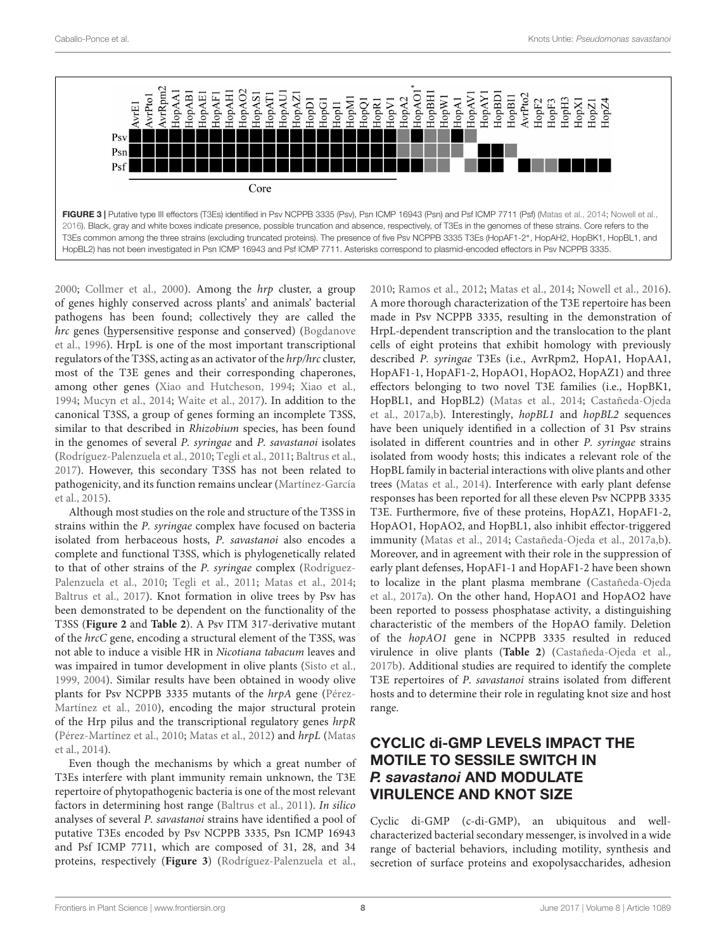

<span id="page-7-0"></span>[2000;](#page-11-17) [Collmer et al., 2000\)](#page-12-28). Among the hrp cluster, a group of genes highly conserved across plants' and animals' bacterial pathogens has been found; collectively they are called the hrc genes (hypersensitive response and conserved) [\(Bogdanove](#page-11-18) [et al., 1996\)](#page-11-18). HrpL is one of the most important transcriptional regulators of the T3SS, acting as an activator of the hrp/hrc cluster, most of the T3E genes and their corresponding chaperones, among other genes [\(Xiao and Hutcheson, 1994;](#page-15-10) [Xiao et al.,](#page-15-11) [1994;](#page-15-11) [Mucyn et al., 2014;](#page-13-26) [Waite et al., 2017\)](#page-15-12). In addition to the canonical T3SS, a group of genes forming an incomplete T3SS, similar to that described in Rhizobium species, has been found in the genomes of several P. syringae and P. savastanoi isolates [\(Rodríguez-Palenzuela et al., 2010;](#page-14-21) [Tegli et al., 2011;](#page-14-25) [Baltrus et al.,](#page-11-3) [2017\)](#page-11-3). However, this secondary T3SS has not been related to pathogenicity, and its function remains unclear [\(Martínez-García](#page-13-27) [et al., 2015\)](#page-13-27).

Although most studies on the role and structure of the T3SS in strains within the P. syringae complex have focused on bacteria isolated from herbaceous hosts, P. savastanoi also encodes a complete and functional T3SS, which is phylogenetically related to that of other strains of the P. syringae complex [\(Rodríguez-](#page-14-21)[Palenzuela et al., 2010;](#page-14-21) [Tegli et al., 2011;](#page-14-25) [Matas et al., 2014;](#page-13-11) [Baltrus et al., 2017\)](#page-11-3). Knot formation in olive trees by Psv has been demonstrated to be dependent on the functionality of the T3SS (**[Figure 2](#page-5-0)** and **[Table 2](#page-3-0)**). A Psv ITM 317-derivative mutant of the hrcC gene, encoding a structural element of the T3SS, was not able to induce a visible HR in Nicotiana tabacum leaves and was impaired in tumor development in olive plants [\(Sisto et al.,](#page-14-26) [1999,](#page-14-26) [2004\)](#page-14-11). Similar results have been obtained in woody olive plants for Psv NCPPB 3335 mutants of the hrpA gene [\(Pérez-](#page-14-12)[Martínez et al., 2010\)](#page-14-12), encoding the major structural protein of the Hrp pilus and the transcriptional regulatory genes hrpR [\(Pérez-Martínez et al., 2010;](#page-14-12) [Matas et al., 2012\)](#page-13-10) and hrpL [\(Matas](#page-13-11) [et al., 2014\)](#page-13-11).

Even though the mechanisms by which a great number of T3Es interfere with plant immunity remain unknown, the T3E repertoire of phytopathogenic bacteria is one of the most relevant factors in determining host range [\(Baltrus et al., 2011\)](#page-11-19). In silico analyses of several P. savastanoi strains have identified a pool of putative T3Es encoded by Psv NCPPB 3335, Psn ICMP 16943 and Psf ICMP 7711, which are composed of 31, 28, and 34 proteins, respectively (**[Figure 3](#page-7-0)**) [\(Rodríguez-Palenzuela et al.,](#page-14-21)

[2010;](#page-14-21) [Ramos et al., 2012;](#page-14-2) [Matas et al., 2014;](#page-13-11) [Nowell et al., 2016\)](#page-13-25). A more thorough characterization of the T3E repertoire has been made in Psv NCPPB 3335, resulting in the demonstration of HrpL-dependent transcription and the translocation to the plant cells of eight proteins that exhibit homology with previously described P. syringae T3Es (i.e., AvrRpm2, HopA1, HopAA1, HopAF1-1, HopAF1-2, HopAO1, HopAO2, HopAZ1) and three effectors belonging to two novel T3E families (i.e., HopBK1, HopBL1, and HopBL2) [\(Matas et al., 2014;](#page-13-11) [Castañeda-Ojeda](#page-12-29) [et al., 2017a,](#page-12-29)[b\)](#page-12-17). Interestingly, hopBL1 and hopBL2 sequences have been uniquely identified in a collection of 31 Psv strains isolated in different countries and in other P. syringae strains isolated from woody hosts; this indicates a relevant role of the HopBL family in bacterial interactions with olive plants and other trees [\(Matas et al., 2014\)](#page-13-11). Interference with early plant defense responses has been reported for all these eleven Psv NCPPB 3335 T3E. Furthermore, five of these proteins, HopAZ1, HopAF1-2, HopAO1, HopAO2, and HopBL1, also inhibit effector-triggered immunity [\(Matas et al., 2014;](#page-13-11) [Castañeda-Ojeda et al., 2017a](#page-12-29)[,b\)](#page-12-17). Moreover, and in agreement with their role in the suppression of early plant defenses, HopAF1-1 and HopAF1-2 have been shown to localize in the plant plasma membrane [\(Castañeda-Ojeda](#page-12-29) [et al., 2017a\)](#page-12-29). On the other hand, HopAO1 and HopAO2 have been reported to possess phosphatase activity, a distinguishing characteristic of the members of the HopAO family. Deletion of the hopAO1 gene in NCPPB 3335 resulted in reduced virulence in olive plants (**[Table 2](#page-3-0)**) [\(Castañeda-Ojeda et al.,](#page-12-17) [2017b\)](#page-12-17). Additional studies are required to identify the complete T3E repertoires of P. savastanoi strains isolated from different hosts and to determine their role in regulating knot size and host range.

# CYCLIC di-GMP LEVELS IMPACT THE MOTILE TO SESSILE SWITCH IN P. savastanoi AND MODULATE VIRULENCE AND KNOT SIZE

Cyclic di-GMP (c-di-GMP), an ubiquitous and wellcharacterized bacterial secondary messenger, is involved in a wide range of bacterial behaviors, including motility, synthesis and secretion of surface proteins and exopolysaccharides, adhesion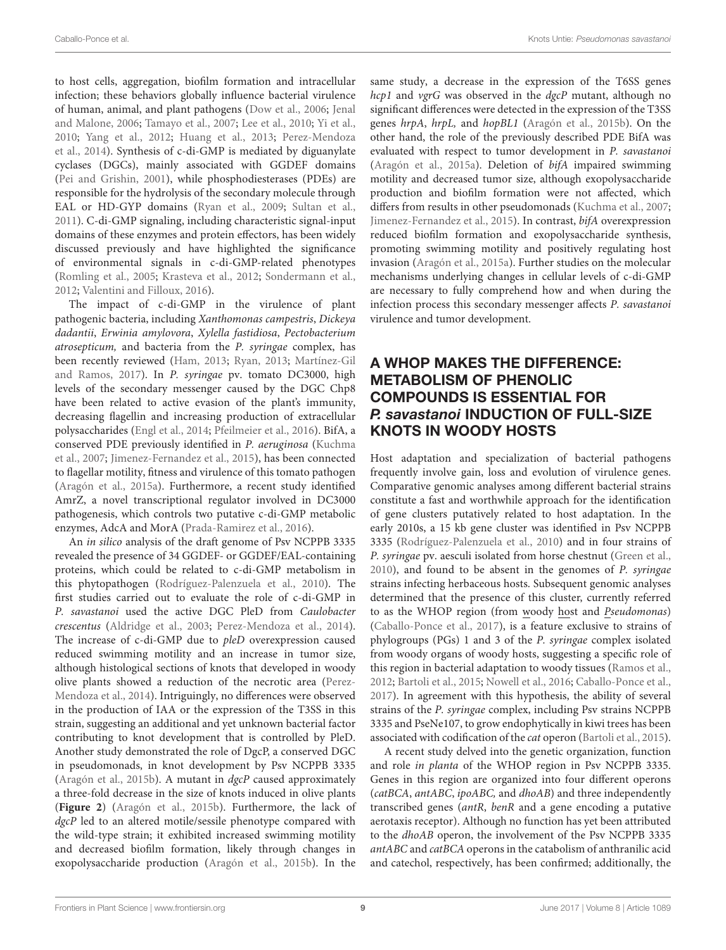to host cells, aggregation, biofilm formation and intracellular infection; these behaviors globally influence bacterial virulence of human, animal, and plant pathogens [\(Dow et al., 2006;](#page-12-30) [Jenal](#page-13-28) [and Malone, 2006;](#page-13-28) [Tamayo et al., 2007;](#page-14-27) [Lee et al., 2010;](#page-13-29) [Yi et al.,](#page-15-13) [2010;](#page-15-13) [Yang et al., 2012;](#page-15-14) [Huang et al., 2013;](#page-12-31) [Perez-Mendoza](#page-14-13) [et al., 2014\)](#page-14-13). Synthesis of c-di-GMP is mediated by diguanylate cyclases (DGCs), mainly associated with GGDEF domains [\(Pei and Grishin, 2001\)](#page-14-28), while phosphodiesterases (PDEs) are responsible for the hydrolysis of the secondary molecule through EAL or HD-GYP domains [\(Ryan et al., 2009;](#page-14-29) [Sultan et al.,](#page-14-30) [2011\)](#page-14-30). C-di-GMP signaling, including characteristic signal-input domains of these enzymes and protein effectors, has been widely discussed previously and have highlighted the significance of environmental signals in c-di-GMP-related phenotypes [\(Romling et al., 2005;](#page-14-31) [Krasteva et al., 2012;](#page-13-30) [Sondermann et al.,](#page-14-32) [2012;](#page-14-32) [Valentini and Filloux, 2016\)](#page-15-15).

The impact of c-di-GMP in the virulence of plant pathogenic bacteria, including Xanthomonas campestris, Dickeya dadantii, Erwinia amylovora, Xylella fastidiosa, Pectobacterium atrosepticum, and bacteria from the P. syringae complex, has been recently reviewed [\(Ham, 2013;](#page-12-32) [Ryan, 2013;](#page-14-33) [Martínez-Gil](#page-13-31) [and Ramos, 2017\)](#page-13-31). In P. syringae pv. tomato DC3000, high levels of the secondary messenger caused by the DGC Chp8 have been related to active evasion of the plant's immunity, decreasing flagellin and increasing production of extracellular polysaccharides [\(Engl et al., 2014;](#page-12-33) [Pfeilmeier et al., 2016\)](#page-14-34). BifA, a conserved PDE previously identified in P. aeruginosa [\(Kuchma](#page-13-32) [et al., 2007;](#page-13-32) [Jimenez-Fernandez et al., 2015\)](#page-13-33), has been connected to flagellar motility, fitness and virulence of this tomato pathogen [\(Aragón et al., 2015a\)](#page-11-11). Furthermore, a recent study identified AmrZ, a novel transcriptional regulator involved in DC3000 pathogenesis, which controls two putative c-di-GMP metabolic enzymes, AdcA and MorA [\(Prada-Ramirez et al., 2016\)](#page-14-35).

An in silico analysis of the draft genome of Psv NCPPB 3335 revealed the presence of 34 GGDEF- or GGDEF/EAL-containing proteins, which could be related to c-di-GMP metabolism in this phytopathogen [\(Rodríguez-Palenzuela et al., 2010\)](#page-14-21). The first studies carried out to evaluate the role of c-di-GMP in P. savastanoi used the active DGC PleD from Caulobacter crescentus [\(Aldridge et al., 2003;](#page-11-20) [Perez-Mendoza et al., 2014\)](#page-14-13). The increase of c-di-GMP due to pleD overexpression caused reduced swimming motility and an increase in tumor size, although histological sections of knots that developed in woody olive plants showed a reduction of the necrotic area [\(Perez-](#page-14-13)[Mendoza et al., 2014\)](#page-14-13). Intriguingly, no differences were observed in the production of IAA or the expression of the T3SS in this strain, suggesting an additional and yet unknown bacterial factor contributing to knot development that is controlled by PleD. Another study demonstrated the role of DgcP, a conserved DGC in pseudomonads, in knot development by Psv NCPPB 3335 [\(Aragón et al., 2015b\)](#page-11-12). A mutant in dgcP caused approximately a three-fold decrease in the size of knots induced in olive plants (**[Figure 2](#page-5-0)**) [\(Aragón et al., 2015b\)](#page-11-12). Furthermore, the lack of dgcP led to an altered motile/sessile phenotype compared with the wild-type strain; it exhibited increased swimming motility and decreased biofilm formation, likely through changes in exopolysaccharide production [\(Aragón et al., 2015b\)](#page-11-12). In the

same study, a decrease in the expression of the T6SS genes hcp1 and vgrG was observed in the dgcP mutant, although no significant differences were detected in the expression of the T3SS genes hrpA, hrpL, and hopBL1 [\(Aragón et al., 2015b\)](#page-11-12). On the other hand, the role of the previously described PDE BifA was evaluated with respect to tumor development in P. savastanoi [\(Aragón et al., 2015a\)](#page-11-11). Deletion of bifA impaired swimming motility and decreased tumor size, although exopolysaccharide production and biofilm formation were not affected, which differs from results in other pseudomonads [\(Kuchma et al., 2007;](#page-13-32) [Jimenez-Fernandez et al., 2015\)](#page-13-33). In contrast, bifA overexpression reduced biofilm formation and exopolysaccharide synthesis, promoting swimming motility and positively regulating host invasion [\(Aragón et al., 2015a\)](#page-11-11). Further studies on the molecular mechanisms underlying changes in cellular levels of c-di-GMP are necessary to fully comprehend how and when during the infection process this secondary messenger affects P. savastanoi virulence and tumor development.

#### A WHOP MAKES THE DIFFERENCE: METABOLISM OF PHENOLIC COMPOUNDS IS ESSENTIAL FOR P. savastanoi INDUCTION OF FULL-SIZE KNOTS IN WOODY HOSTS

Host adaptation and specialization of bacterial pathogens frequently involve gain, loss and evolution of virulence genes. Comparative genomic analyses among different bacterial strains constitute a fast and worthwhile approach for the identification of gene clusters putatively related to host adaptation. In the early 2010s, a 15 kb gene cluster was identified in Psv NCPPB 3335 [\(Rodríguez-Palenzuela et al., 2010\)](#page-14-21) and in four strains of P. syringae pv. aesculi isolated from horse chestnut [\(Green et al.,](#page-12-34) [2010\)](#page-12-34), and found to be absent in the genomes of P. syringae strains infecting herbaceous hosts. Subsequent genomic analyses determined that the presence of this cluster, currently referred to as the WHOP region (from woody host and Pseudomonas) [\(Caballo-Ponce et al., 2017\)](#page-12-18), is a feature exclusive to strains of phylogroups (PGs) 1 and 3 of the P. syringae complex isolated from woody organs of woody hosts, suggesting a specific role of this region in bacterial adaptation to woody tissues [\(Ramos et al.,](#page-14-2) [2012;](#page-14-2) [Bartoli et al., 2015;](#page-11-21) [Nowell et al., 2016;](#page-13-25) [Caballo-Ponce et al.,](#page-12-18) [2017\)](#page-12-18). In agreement with this hypothesis, the ability of several strains of the P. syringae complex, including Psv strains NCPPB 3335 and PseNe107, to grow endophytically in kiwi trees has been associated with codification of the cat operon [\(Bartoli et al., 2015\)](#page-11-21).

A recent study delved into the genetic organization, function and role in planta of the WHOP region in Psv NCPPB 3335. Genes in this region are organized into four different operons (catBCA, antABC, ipoABC, and dhoAB) and three independently transcribed genes (antR, benR and a gene encoding a putative aerotaxis receptor). Although no function has yet been attributed to the dhoAB operon, the involvement of the Psv NCPPB 3335 antABC and catBCA operons in the catabolism of anthranilic acid and catechol, respectively, has been confirmed; additionally, the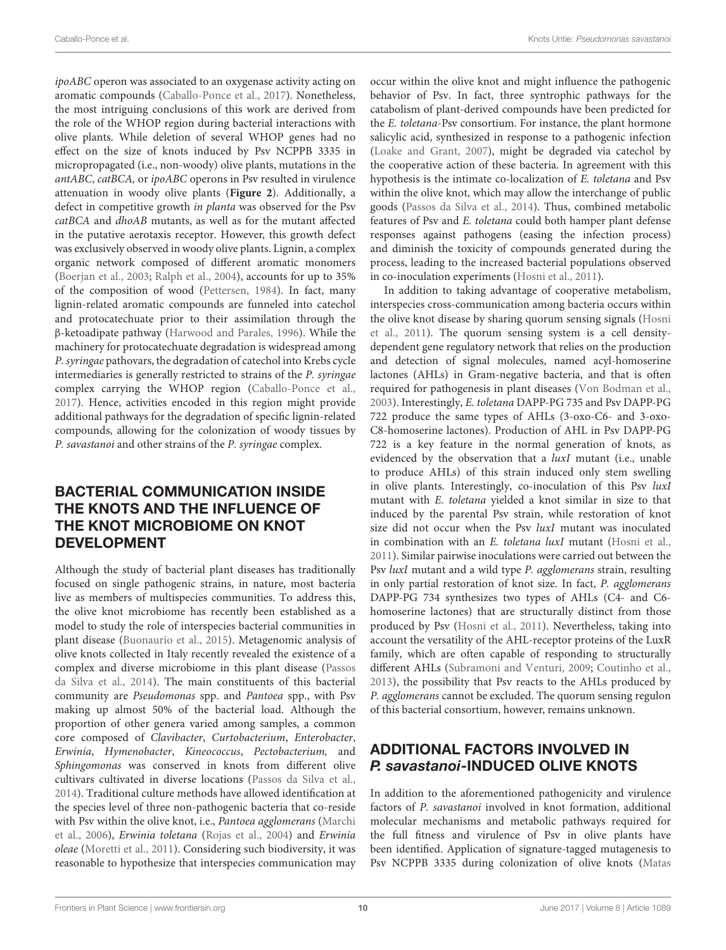ipoABC operon was associated to an oxygenase activity acting on aromatic compounds [\(Caballo-Ponce et al., 2017\)](#page-12-18). Nonetheless, the most intriguing conclusions of this work are derived from the role of the WHOP region during bacterial interactions with olive plants. While deletion of several WHOP genes had no effect on the size of knots induced by Psv NCPPB 3335 in micropropagated (i.e., non-woody) olive plants, mutations in the antABC, catBCA, or ipoABC operons in Psv resulted in virulence attenuation in woody olive plants (**[Figure 2](#page-5-0)**). Additionally, a defect in competitive growth in planta was observed for the Psv catBCA and dhoAB mutants, as well as for the mutant affected in the putative aerotaxis receptor. However, this growth defect was exclusively observed in woody olive plants. Lignin, a complex organic network composed of different aromatic monomers [\(Boerjan et al., 2003;](#page-11-22) [Ralph et al., 2004\)](#page-14-36), accounts for up to 35% of the composition of wood [\(Pettersen, 1984\)](#page-14-37). In fact, many lignin-related aromatic compounds are funneled into catechol and protocatechuate prior to their assimilation through the β-ketoadipate pathway [\(Harwood and Parales, 1996\)](#page-12-35). While the machinery for protocatechuate degradation is widespread among P. syringae pathovars, the degradation of catechol into Krebs cycle intermediaries is generally restricted to strains of the P. syringae complex carrying the WHOP region [\(Caballo-Ponce et al.,](#page-12-18) [2017\)](#page-12-18). Hence, activities encoded in this region might provide additional pathways for the degradation of specific lignin-related compounds, allowing for the colonization of woody tissues by P. savastanoi and other strains of the P. syringae complex.

### BACTERIAL COMMUNICATION INSIDE THE KNOTS AND THE INFLUENCE OF THE KNOT MICROBIOME ON KNOT DEVELOPMENT

Although the study of bacterial plant diseases has traditionally focused on single pathogenic strains, in nature, most bacteria live as members of multispecies communities. To address this, the olive knot microbiome has recently been established as a model to study the role of interspecies bacterial communities in plant disease [\(Buonaurio et al., 2015\)](#page-11-23). Metagenomic analysis of olive knots collected in Italy recently revealed the existence of a complex and diverse microbiome in this plant disease [\(Passos](#page-14-38) [da Silva et al., 2014\)](#page-14-38). The main constituents of this bacterial community are Pseudomonas spp. and Pantoea spp., with Psv making up almost 50% of the bacterial load. Although the proportion of other genera varied among samples, a common core composed of Clavibacter, Curtobacterium, Enterobacter, Erwinia, Hymenobacter, Kineococcus, Pectobacterium, and Sphingomonas was conserved in knots from different olive cultivars cultivated in diverse locations [\(Passos da Silva et al.,](#page-14-38) [2014\)](#page-14-38). Traditional culture methods have allowed identification at the species level of three non-pathogenic bacteria that co-reside with Psv within the olive knot, i.e., Pantoea agglomerans [\(Marchi](#page-13-34) [et al., 2006\)](#page-13-34), Erwinia toletana [\(Rojas et al., 2004\)](#page-14-39) and Erwinia oleae [\(Moretti et al., 2011\)](#page-13-35). Considering such biodiversity, it was reasonable to hypothesize that interspecies communication may

occur within the olive knot and might influence the pathogenic behavior of Psv. In fact, three syntrophic pathways for the catabolism of plant-derived compounds have been predicted for the E. toletana-Psv consortium. For instance, the plant hormone salicylic acid, synthesized in response to a pathogenic infection [\(Loake and Grant, 2007\)](#page-13-36), might be degraded via catechol by the cooperative action of these bacteria. In agreement with this hypothesis is the intimate co-localization of E. toletana and Psv within the olive knot, which may allow the interchange of public goods [\(Passos da Silva et al., 2014\)](#page-14-38). Thus, combined metabolic features of Psv and E. toletana could both hamper plant defense responses against pathogens (easing the infection process) and diminish the toxicity of compounds generated during the process, leading to the increased bacterial populations observed in co-inoculation experiments [\(Hosni et al., 2011\)](#page-12-4).

In addition to taking advantage of cooperative metabolism, interspecies cross-communication among bacteria occurs within the olive knot disease by sharing quorum sensing signals [\(Hosni](#page-12-4) [et al., 2011\)](#page-12-4). The quorum sensing system is a cell densitydependent gene regulatory network that relies on the production and detection of signal molecules, named acyl-homoserine lactones (AHLs) in Gram-negative bacteria, and that is often required for pathogenesis in plant diseases [\(Von Bodman et al.,](#page-15-16) [2003\)](#page-15-16). Interestingly, E. toletana DAPP-PG 735 and Psv DAPP-PG 722 produce the same types of AHLs (3-oxo-C6- and 3-oxo-C8-homoserine lactones). Production of AHL in Psv DAPP-PG 722 is a key feature in the normal generation of knots, as evidenced by the observation that a luxI mutant (i.e., unable to produce AHLs) of this strain induced only stem swelling in olive plants. Interestingly, co-inoculation of this Psv luxI mutant with E. toletana yielded a knot similar in size to that induced by the parental Psv strain, while restoration of knot size did not occur when the Psv luxI mutant was inoculated in combination with an E. toletana luxI mutant [\(Hosni et al.,](#page-12-4) [2011\)](#page-12-4). Similar pairwise inoculations were carried out between the Psv luxI mutant and a wild type P. agglomerans strain, resulting in only partial restoration of knot size. In fact, P. agglomerans DAPP-PG 734 synthesizes two types of AHLs (C4- and C6 homoserine lactones) that are structurally distinct from those produced by Psv [\(Hosni et al., 2011\)](#page-12-4). Nevertheless, taking into account the versatility of the AHL-receptor proteins of the LuxR family, which are often capable of responding to structurally different AHLs [\(Subramoni and Venturi, 2009;](#page-14-40) [Coutinho et al.,](#page-12-36) [2013\)](#page-12-36), the possibility that Psv reacts to the AHLs produced by P. agglomerans cannot be excluded. The quorum sensing regulon of this bacterial consortium, however, remains unknown.

## ADDITIONAL FACTORS INVOLVED IN P. savastanoi-INDUCED OLIVE KNOTS

In addition to the aforementioned pathogenicity and virulence factors of P. savastanoi involved in knot formation, additional molecular mechanisms and metabolic pathways required for the full fitness and virulence of Psv in olive plants have been identified. Application of signature-tagged mutagenesis to Psv NCPPB 3335 during colonization of olive knots [\(Matas](#page-13-10)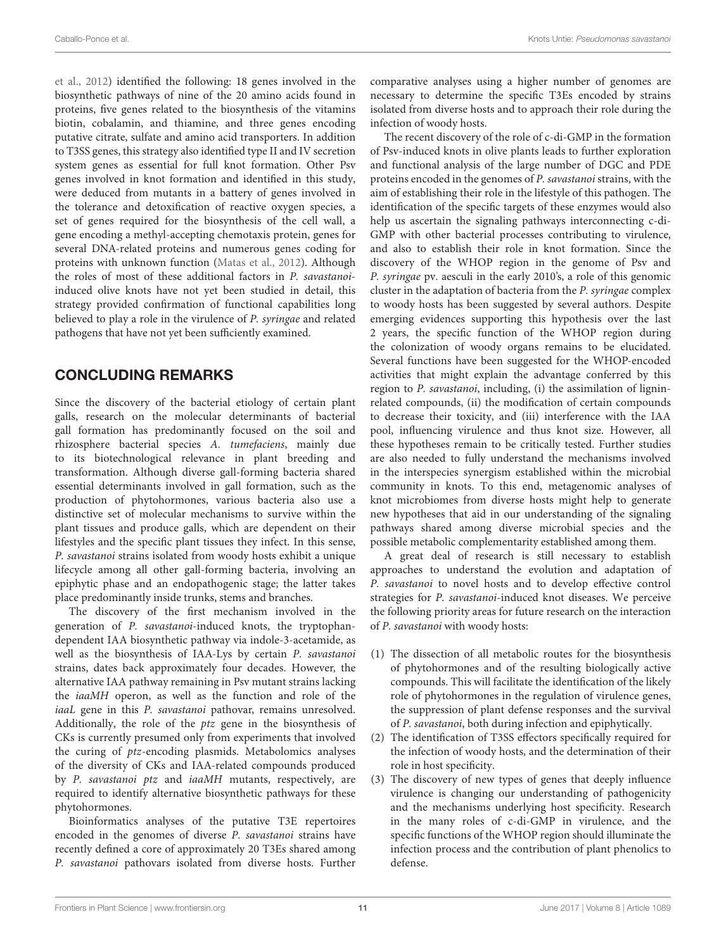[et al., 2012\)](#page-13-10) identified the following: 18 genes involved in the biosynthetic pathways of nine of the 20 amino acids found in proteins, five genes related to the biosynthesis of the vitamins biotin, cobalamin, and thiamine, and three genes encoding putative citrate, sulfate and amino acid transporters. In addition to T3SS genes, this strategy also identified type II and IV secretion system genes as essential for full knot formation. Other Psv genes involved in knot formation and identified in this study, were deduced from mutants in a battery of genes involved in the tolerance and detoxification of reactive oxygen species, a set of genes required for the biosynthesis of the cell wall, a gene encoding a methyl-accepting chemotaxis protein, genes for several DNA-related proteins and numerous genes coding for proteins with unknown function [\(Matas et al., 2012\)](#page-13-10). Although the roles of most of these additional factors in P. savastanoiinduced olive knots have not yet been studied in detail, this strategy provided confirmation of functional capabilities long believed to play a role in the virulence of P. syringae and related pathogens that have not yet been sufficiently examined.

## CONCLUDING REMARKS

Since the discovery of the bacterial etiology of certain plant galls, research on the molecular determinants of bacterial gall formation has predominantly focused on the soil and rhizosphere bacterial species A. tumefaciens, mainly due to its biotechnological relevance in plant breeding and transformation. Although diverse gall-forming bacteria shared essential determinants involved in gall formation, such as the production of phytohormones, various bacteria also use a distinctive set of molecular mechanisms to survive within the plant tissues and produce galls, which are dependent on their lifestyles and the specific plant tissues they infect. In this sense, P. savastanoi strains isolated from woody hosts exhibit a unique lifecycle among all other gall-forming bacteria, involving an epiphytic phase and an endopathogenic stage; the latter takes place predominantly inside trunks, stems and branches.

The discovery of the first mechanism involved in the generation of P. savastanoi-induced knots, the tryptophandependent IAA biosynthetic pathway via indole-3-acetamide, as well as the biosynthesis of IAA-Lys by certain P. savastanoi strains, dates back approximately four decades. However, the alternative IAA pathway remaining in Psv mutant strains lacking the iaaMH operon, as well as the function and role of the iaaL gene in this P. savastanoi pathovar, remains unresolved. Additionally, the role of the ptz gene in the biosynthesis of CKs is currently presumed only from experiments that involved the curing of ptz-encoding plasmids. Metabolomics analyses of the diversity of CKs and IAA-related compounds produced by P. savastanoi ptz and iaaMH mutants, respectively, are required to identify alternative biosynthetic pathways for these phytohormones.

Bioinformatics analyses of the putative T3E repertoires encoded in the genomes of diverse P. savastanoi strains have recently defined a core of approximately 20 T3Es shared among P. savastanoi pathovars isolated from diverse hosts. Further comparative analyses using a higher number of genomes are necessary to determine the specific T3Es encoded by strains isolated from diverse hosts and to approach their role during the infection of woody hosts.

The recent discovery of the role of c-di-GMP in the formation of Psv-induced knots in olive plants leads to further exploration and functional analysis of the large number of DGC and PDE proteins encoded in the genomes of P. savastanoi strains, with the aim of establishing their role in the lifestyle of this pathogen. The identification of the specific targets of these enzymes would also help us ascertain the signaling pathways interconnecting c-di-GMP with other bacterial processes contributing to virulence, and also to establish their role in knot formation. Since the discovery of the WHOP region in the genome of Psv and P. syringae pv. aesculi in the early 2010's, a role of this genomic cluster in the adaptation of bacteria from the P. syringae complex to woody hosts has been suggested by several authors. Despite emerging evidences supporting this hypothesis over the last 2 years, the specific function of the WHOP region during the colonization of woody organs remains to be elucidated. Several functions have been suggested for the WHOP-encoded activities that might explain the advantage conferred by this region to P. savastanoi, including, (i) the assimilation of ligninrelated compounds, (ii) the modification of certain compounds to decrease their toxicity, and (iii) interference with the IAA pool, influencing virulence and thus knot size. However, all these hypotheses remain to be critically tested. Further studies are also needed to fully understand the mechanisms involved in the interspecies synergism established within the microbial community in knots. To this end, metagenomic analyses of knot microbiomes from diverse hosts might help to generate new hypotheses that aid in our understanding of the signaling pathways shared among diverse microbial species and the possible metabolic complementarity established among them.

A great deal of research is still necessary to establish approaches to understand the evolution and adaptation of P. savastanoi to novel hosts and to develop effective control strategies for P. savastanoi-induced knot diseases. We perceive the following priority areas for future research on the interaction of P. savastanoi with woody hosts:

- (1) The dissection of all metabolic routes for the biosynthesis of phytohormones and of the resulting biologically active compounds. This will facilitate the identification of the likely role of phytohormones in the regulation of virulence genes, the suppression of plant defense responses and the survival of P. savastanoi, both during infection and epiphytically.
- (2) The identification of T3SS effectors specifically required for the infection of woody hosts, and the determination of their role in host specificity.
- (3) The discovery of new types of genes that deeply influence virulence is changing our understanding of pathogenicity and the mechanisms underlying host specificity. Research in the many roles of c-di-GMP in virulence, and the specific functions of the WHOP region should illuminate the infection process and the contribution of plant phenolics to defense.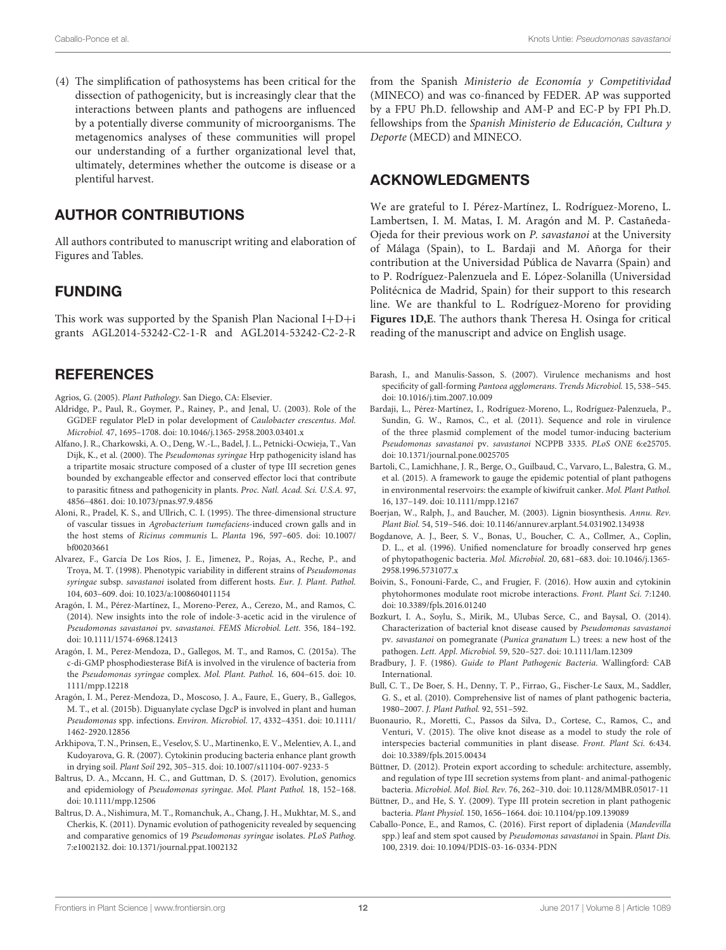(4) The simplification of pathosystems has been critical for the dissection of pathogenicity, but is increasingly clear that the interactions between plants and pathogens are influenced by a potentially diverse community of microorganisms. The metagenomics analyses of these communities will propel our understanding of a further organizational level that, ultimately, determines whether the outcome is disease or a plentiful harvest.

#### AUTHOR CONTRIBUTIONS

All authors contributed to manuscript writing and elaboration of Figures and Tables.

#### FUNDING

This work was supported by the Spanish Plan Nacional  $I+D+i$ grants AGL2014-53242-C2-1-R and AGL2014-53242-C2-2-R

#### **REFERENCES**

<span id="page-11-0"></span>Agrios, G. (2005). Plant Pathology. San Diego, CA: Elsevier.

- <span id="page-11-20"></span>Aldridge, P., Paul, R., Goymer, P., Rainey, P., and Jenal, U. (2003). Role of the GGDEF regulator PleD in polar development of Caulobacter crescentus. Mol. Microbiol. 47, 1695–1708. [doi: 10.1046/j.1365-2958.2003.03401.x](https://doi.org/10.1046/j.1365-2958.2003.03401.x)
- <span id="page-11-17"></span>Alfano, J. R., Charkowski, A. O., Deng, W.-L., Badel, J. L., Petnicki-Ocwieja, T., Van Dijk, K., et al. (2000). The Pseudomonas syringae Hrp pathogenicity island has a tripartite mosaic structure composed of a cluster of type III secretion genes bounded by exchangeable effector and conserved effector loci that contribute to parasitic fitness and pathogenicity in plants. Proc. Natl. Acad. Sci. U.S.A. 97, 4856–4861. [doi: 10.1073/pnas.97.9.4856](https://doi.org/10.1073/pnas.97.9.4856)
- <span id="page-11-8"></span>Aloni, R., Pradel, K. S., and Ullrich, C. I. (1995). The three-dimensional structure of vascular tissues in Agrobacterium tumefaciens-induced crown galls and in the host stems of Ricinus communis L. Planta 196, 597–605. [doi: 10.1007/](https://doi.org/10.1007/bf00203661) [bf00203661](https://doi.org/10.1007/bf00203661)
- <span id="page-11-6"></span>Alvarez, F., García De Los Ríos, J. E., Jimenez, P., Rojas, A., Reche, P., and Troya, M. T. (1998). Phenotypic variability in different strains of Pseudomonas syringae subsp. savastanoi isolated from different hosts. Eur. J. Plant. Pathol. 104, 603–609. [doi: 10.1023/a:1008604011154](https://doi.org/10.1023/a:1008604011154)
- <span id="page-11-9"></span>Aragón, I. M., Pérez-Martínez, I., Moreno-Perez, A., Cerezo, M., and Ramos, C. (2014). New insights into the role of indole-3-acetic acid in the virulence of Pseudomonas savastanoi pv. savastanoi. FEMS Microbiol. Lett. 356, 184–192. [doi: 10.1111/1574-6968.12413](https://doi.org/10.1111/1574-6968.12413)
- <span id="page-11-11"></span>Aragón, I. M., Perez-Mendoza, D., Gallegos, M. T., and Ramos, C. (2015a). The c-di-GMP phosphodiesterase BifA is involved in the virulence of bacteria from the Pseudomonas syringae complex. Mol. Plant. Pathol. 16, 604–615. [doi: 10.](https://doi.org/10.1111/mpp.12218) [1111/mpp.12218](https://doi.org/10.1111/mpp.12218)
- <span id="page-11-12"></span>Aragón, I. M., Perez-Mendoza, D., Moscoso, J. A., Faure, E., Guery, B., Gallegos, M. T., et al. (2015b). Diguanylate cyclase DgcP is involved in plant and human Pseudomonas spp. infections. Environ. Microbiol. 17, 4332–4351. [doi: 10.1111/](https://doi.org/10.1111/1462-2920.12856) [1462-2920.12856](https://doi.org/10.1111/1462-2920.12856)
- <span id="page-11-14"></span>Arkhipova, T. N., Prinsen, E., Veselov, S. U., Martinenko, E. V., Melentiev, A. I., and Kudoyarova, G. R. (2007). Cytokinin producing bacteria enhance plant growth in drying soil. Plant Soil 292, 305–315. [doi: 10.1007/s11104-007-9233-5](https://doi.org/10.1007/s11104-007-9233-5)
- <span id="page-11-3"></span>Baltrus, D. A., Mccann, H. C., and Guttman, D. S. (2017). Evolution, genomics and epidemiology of Pseudomonas syringae. Mol. Plant Pathol. 18, 152–168. [doi: 10.1111/mpp.12506](https://doi.org/10.1111/mpp.12506)
- <span id="page-11-19"></span>Baltrus, D. A., Nishimura, M. T., Romanchuk, A., Chang, J. H., Mukhtar, M. S., and Cherkis, K. (2011). Dynamic evolution of pathogenicity revealed by sequencing and comparative genomics of 19 Pseudomonas syringae isolates. PLoS Pathog. 7:e1002132. [doi: 10.1371/journal.ppat.1002132](https://doi.org/10.1371/journal.ppat.1002132)

from the Spanish Ministerio de Economía y Competitividad (MINECO) and was co-financed by FEDER. AP was supported by a FPU Ph.D. fellowship and AM-P and EC-P by FPI Ph.D. fellowships from the Spanish Ministerio de Educación, Cultura y Deporte (MECD) and MINECO.

#### ACKNOWLEDGMENTS

We are grateful to I. Pérez-Martínez, L. Rodríguez-Moreno, L. Lambertsen, I. M. Matas, I. M. Aragón and M. P. Castañeda-Ojeda for their previous work on P. savastanoi at the University of Málaga (Spain), to L. Bardaji and M. Añorga for their contribution at the Universidad Pública de Navarra (Spain) and to P. Rodríguez-Palenzuela and E. López-Solanilla (Universidad Politécnica de Madrid, Spain) for their support to this research line. We are thankful to L. Rodríguez-Moreno for providing **[Figures 1D,E](#page-4-0)**. The authors thank Theresa H. Osinga for critical reading of the manuscript and advice on English usage.

- <span id="page-11-1"></span>Barash, I., and Manulis-Sasson, S. (2007). Virulence mechanisms and host specificity of gall-forming Pantoea agglomerans. Trends Microbiol. 15, 538–545. [doi: 10.1016/j.tim.2007.10.009](https://doi.org/10.1016/j.tim.2007.10.009)
- <span id="page-11-10"></span>Bardaji, L., Pérez-Martínez, I., Rodríguez-Moreno, L., Rodríguez-Palenzuela, P., Sundin, G. W., Ramos, C., et al. (2011). Sequence and role in virulence of the three plasmid complement of the model tumor-inducing bacterium Pseudomonas savastanoi pv. savastanoi NCPPB 3335. PLoS ONE 6:e25705. [doi: 10.1371/journal.pone.0025705](https://doi.org/10.1371/journal.pone.0025705)
- <span id="page-11-21"></span>Bartoli, C., Lamichhane, J. R., Berge, O., Guilbaud, C., Varvaro, L., Balestra, G. M., et al. (2015). A framework to gauge the epidemic potential of plant pathogens in environmental reservoirs: the example of kiwifruit canker. Mol. Plant Pathol. 16, 137–149. [doi: 10.1111/mpp.12167](https://doi.org/10.1111/mpp.12167)
- <span id="page-11-22"></span>Boerjan, W., Ralph, J., and Baucher, M. (2003). Lignin biosynthesis. Annu. Rev. Plant Biol. 54, 519–546. [doi: 10.1146/annurev.arplant.54.031902.134938](https://doi.org/10.1146/annurev.arplant.54.031902.134938)
- <span id="page-11-18"></span>Bogdanove, A. J., Beer, S. V., Bonas, U., Boucher, C. A., Collmer, A., Coplin, D. L., et al. (1996). Unified nomenclature for broadly conserved hrp genes of phytopathogenic bacteria. Mol. Microbiol. 20, 681–683. [doi: 10.1046/j.1365-](https://doi.org/10.1046/j.1365-2958.1996.5731077.x) [2958.1996.5731077.x](https://doi.org/10.1046/j.1365-2958.1996.5731077.x)
- <span id="page-11-13"></span>Boivin, S., Fonouni-Farde, C., and Frugier, F. (2016). How auxin and cytokinin phytohormones modulate root microbe interactions. Front. Plant Sci. 7:1240. [doi: 10.3389/fpls.2016.01240](https://doi.org/10.3389/fpls.2016.01240)
- <span id="page-11-5"></span>Bozkurt, I. A., Soylu, S., Mirik, M., Ulubas Serce, C., and Baysal, O. (2014). Characterization of bacterial knot disease caused by Pseudomonas savastanoi pv. savastanoi on pomegranate (Punica granatum L.) trees: a new host of the pathogen. Lett. Appl. Microbiol. 59, 520–527. [doi: 10.1111/lam.12309](https://doi.org/10.1111/lam.12309)
- <span id="page-11-4"></span>Bradbury, J. F. (1986). Guide to Plant Pathogenic Bacteria. Wallingford: CAB International.
- <span id="page-11-2"></span>Bull, C. T., De Boer, S. H., Denny, T. P., Firrao, G., Fischer-Le Saux, M., Saddler, G. S., et al. (2010). Comprehensive list of names of plant pathogenic bacteria, 1980–2007. J. Plant Pathol. 92, 551–592.
- <span id="page-11-23"></span>Buonaurio, R., Moretti, C., Passos da Silva, D., Cortese, C., Ramos, C., and Venturi, V. (2015). The olive knot disease as a model to study the role of interspecies bacterial communities in plant disease. Front. Plant Sci. 6:434. [doi: 10.3389/fpls.2015.00434](https://doi.org/10.3389/fpls.2015.00434)
- <span id="page-11-16"></span>Büttner, D. (2012). Protein export according to schedule: architecture, assembly, and regulation of type III secretion systems from plant- and animal-pathogenic bacteria. Microbiol. Mol. Biol. Rev. 76, 262–310. [doi: 10.1128/MMBR.05017-11](https://doi.org/10.1128/MMBR.05017-11)
- <span id="page-11-15"></span>Büttner, D., and He, S. Y. (2009). Type III protein secretion in plant pathogenic bacteria. Plant Physiol. 150, 1656–1664. [doi: 10.1104/pp.109.139089](https://doi.org/10.1104/pp.109.139089)
- <span id="page-11-7"></span>Caballo-Ponce, E., and Ramos, C. (2016). First report of dipladenia (Mandevilla spp.) leaf and stem spot caused by Pseudomonas savastanoi in Spain. Plant Dis. 100, 2319. [doi: 10.1094/PDIS-03-16-0334-PDN](https://doi.org/10.1094/PDIS-03-16-0334-PDN)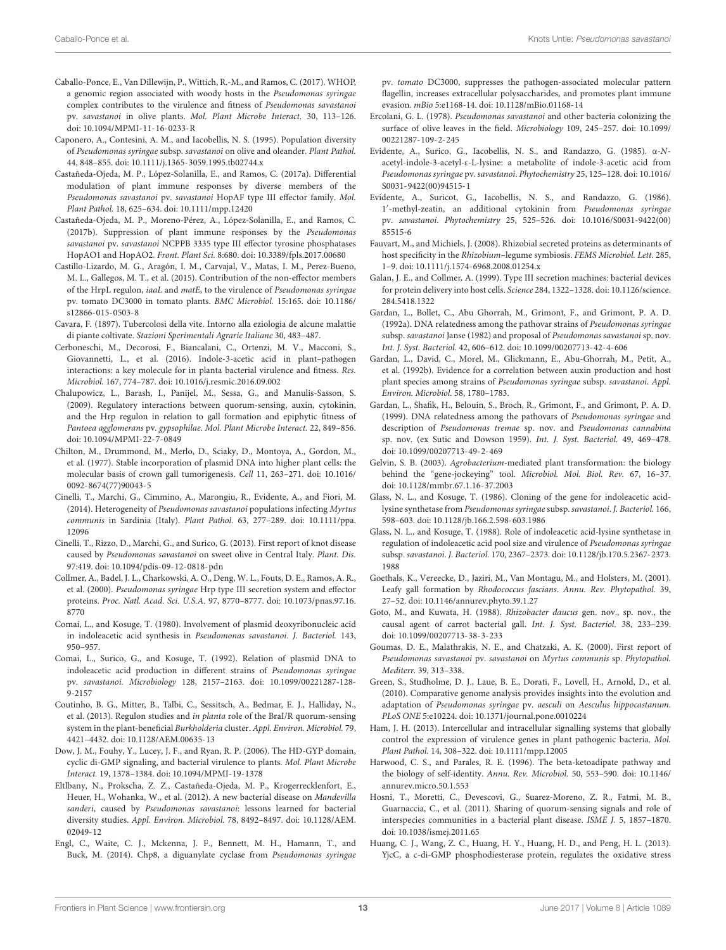- <span id="page-12-18"></span>Caballo-Ponce, E., Van Dillewijn, P., Wittich, R.-M., and Ramos, C. (2017). WHOP, a genomic region associated with woody hosts in the Pseudomonas syringae complex contributes to the virulence and fitness of Pseudomonas savastanoi pv. savastanoi in olive plants. Mol. Plant Microbe Interact. 30, 113–126. [doi: 10.1094/MPMI-11-16-0233-R](https://doi.org/10.1094/MPMI-11-16-0233-R)
- <span id="page-12-21"></span>Caponero, A., Contesini, A. M., and Iacobellis, N. S. (1995). Population diversity of Pseudomonas syringae subsp. savastanoi on olive and oleander. Plant Pathol. 44, 848–855. [doi: 10.1111/j.1365-3059.1995.tb02744.x](https://doi.org/10.1111/j.1365-3059.1995.tb02744.x)
- <span id="page-12-29"></span>Castañeda-Ojeda, M. P., López-Solanilla, E., and Ramos, C. (2017a). Differential modulation of plant immune responses by diverse members of the Pseudomonas savastanoi pv. savastanoi HopAF type III effector family. Mol. Plant Pathol. 18, 625–634. [doi: 10.1111/mpp.12420](https://doi.org/10.1111/mpp.12420)
- <span id="page-12-17"></span>Castañeda-Ojeda, M. P., Moreno-Pérez, A., López-Solanilla, E., and Ramos, C. (2017b). Suppression of plant immune responses by the Pseudomonas savastanoi pv. savastanoi NCPPB 3335 type III effector tyrosine phosphatases HopAO1 and HopAO2. Front. Plant Sci. 8:680. [doi: 10.3389/fpls.2017.00680](https://doi.org/10.3389/fpls.2017.00680)
- <span id="page-12-23"></span>Castillo-Lizardo, M. G., Aragón, I. M., Carvajal, V., Matas, I. M., Perez-Bueno, M. L., Gallegos, M. T., et al. (2015). Contribution of the non-effector members of the HrpL regulon, iaaL and matE, to the virulence of Pseudomonas syringae pv. tomato DC3000 in tomato plants. BMC Microbiol. 15:165. [doi: 10.1186/](https://doi.org/10.1186/s12866-015-0503-8) [s12866-015-0503-8](https://doi.org/10.1186/s12866-015-0503-8)
- <span id="page-12-0"></span>Cavara, F. (1897). Tubercolosi della vite. Intorno alla eziologia de alcune malattie di piante coltivate. Stazioni Sperimentali Agrarie Italiane 30, 483–487.
- <span id="page-12-15"></span>Cerboneschi, M., Decorosi, F., Biancalani, C., Ortenzi, M. V., Macconi, S., Giovannetti, L., et al. (2016). Indole-3-acetic acid in plant–pathogen interactions: a key molecule for in planta bacterial virulence and fitness. Res. Microbiol. 167, 774–787. [doi: 10.1016/j.resmic.2016.09.002](https://doi.org/10.1016/j.resmic.2016.09.002)
- <span id="page-12-25"></span>Chalupowicz, L., Barash, I., Panijel, M., Sessa, G., and Manulis-Sasson, S. (2009). Regulatory interactions between quorum-sensing, auxin, cytokinin, and the Hrp regulon in relation to gall formation and epiphytic fitness of Pantoea agglomerans pv. gypsophilae. Mol. Plant Microbe Interact. 22, 849–856. [doi: 10.1094/MPMI-22-7-0849](https://doi.org/10.1094/MPMI-22-7-0849)
- <span id="page-12-1"></span>Chilton, M., Drummond, M., Merlo, D., Sciaky, D., Montoya, A., Gordon, M., et al. (1977). Stable incorporation of plasmid DNA into higher plant cells: the molecular basis of crown gall tumorigenesis. Cell 11, 263–271. [doi: 10.1016/](https://doi.org/10.1016/0092-8674(77)90043-5) [0092-8674\(77\)90043-5](https://doi.org/10.1016/0092-8674(77)90043-5)
- <span id="page-12-12"></span>Cinelli, T., Marchi, G., Cimmino, A., Marongiu, R., Evidente, A., and Fiori, M. (2014). Heterogeneity of Pseudomonas savastanoi populations infecting Myrtus communis in Sardinia (Italy). Plant Pathol. 63, 277–289. [doi: 10.1111/ppa.](https://doi.org/10.1111/ppa.12096) [12096](https://doi.org/10.1111/ppa.12096)
- <span id="page-12-11"></span>Cinelli, T., Rizzo, D., Marchi, G., and Surico, G. (2013). First report of knot disease caused by Pseudomonas savastanoi on sweet olive in Central Italy. Plant. Dis. 97:419. [doi: 10.1094/pdis-09-12-0818-pdn](https://doi.org/10.1094/pdis-09-12-0818-pdn)
- <span id="page-12-28"></span>Collmer, A., Badel, J. L., Charkowski, A. O., Deng, W. L., Fouts, D. E., Ramos, A. R., et al. (2000). Pseudomonas syringae Hrp type III secretion system and effector proteins. Proc. Natl. Acad. Sci. U.S.A. 97, 8770–8777. [doi: 10.1073/pnas.97.16.](https://doi.org/10.1073/pnas.97.16.8770) [8770](https://doi.org/10.1073/pnas.97.16.8770)
- <span id="page-12-14"></span>Comai, L., and Kosuge, T. (1980). Involvement of plasmid deoxyribonucleic acid in indoleacetic acid synthesis in Pseudomonas savastanoi. J. Bacteriol. 143, 950–957.
- <span id="page-12-19"></span>Comai, L., Surico, G., and Kosuge, T. (1992). Relation of plasmid DNA to indoleacetic acid production in different strains of Pseudomonas syringae pv. savastanoi. Microbiology 128, 2157–2163. [doi: 10.1099/00221287-128-](https://doi.org/10.1099/00221287-128-9-2157) [9-2157](https://doi.org/10.1099/00221287-128-9-2157)
- <span id="page-12-36"></span>Coutinho, B. G., Mitter, B., Talbi, C., Sessitsch, A., Bedmar, E. J., Halliday, N., et al. (2013). Regulon studies and in planta role of the BraI/R quorum-sensing system in the plant-beneficial Burkholderia cluster. Appl. Environ. Microbiol. 79, 4421–4432. [doi: 10.1128/AEM.00635-13](https://doi.org/10.1128/AEM.00635-13)
- <span id="page-12-30"></span>Dow, J. M., Fouhy, Y., Lucey, J. F., and Ryan, R. P. (2006). The HD-GYP domain, cyclic di-GMP signaling, and bacterial virulence to plants. Mol. Plant Microbe Interact. 19, 1378–1384. [doi: 10.1094/MPMI-19-1378](https://doi.org/10.1094/MPMI-19-1378)
- <span id="page-12-10"></span>Eltlbany, N., Prokscha, Z. Z., Castañeda-Ojeda, M. P., Krogerrecklenfort, E., Heuer, H., Wohanka, W., et al. (2012). A new bacterial disease on Mandevilla sanderi, caused by Pseudomonas savastanoi: lessons learned for bacterial diversity studies. Appl. Environ. Microbiol. 78, 8492–8497. [doi: 10.1128/AEM.](https://doi.org/10.1128/AEM.02049-12) [02049-12](https://doi.org/10.1128/AEM.02049-12)
- <span id="page-12-33"></span>Engl, C., Waite, C. J., Mckenna, J. F., Bennett, M. H., Hamann, T., and Buck, M. (2014). Chp8, a diguanylate cyclase from Pseudomonas syringae

pv. tomato DC3000, suppresses the pathogen-associated molecular pattern flagellin, increases extracellular polysaccharides, and promotes plant immune evasion. mBio 5:e1168-14. [doi: 10.1128/mBio.01168-14](https://doi.org/10.1128/mBio.01168-14)

- <span id="page-12-13"></span>Ercolani, G. L. (1978). Pseudomonas savastanoi and other bacteria colonizing the surface of olive leaves in the field. Microbiology 109, 245–257. [doi: 10.1099/](https://doi.org/10.1099/00221287-109-2-245) [00221287-109-2-245](https://doi.org/10.1099/00221287-109-2-245)
- <span id="page-12-22"></span>Evidente, A., Surico, G., Iacobellis, N. S., and Randazzo, G. (1985). α-Nacetyl-indole-3-acetyl-ε-L-lysine: a metabolite of indole-3-acetic acid from Pseudomonas syringae pv. savastanoi. Phytochemistry 25, 125–128. [doi: 10.1016/](https://doi.org/10.1016/S0031-9422(00)94515-1) [S0031-9422\(00\)94515-1](https://doi.org/10.1016/S0031-9422(00)94515-1)
- <span id="page-12-24"></span>Evidente, A., Suricot, G., Iacobellis, N. S., and Randazzo, G. (1986). 1'-methyl-zeatin, an additional cytokinin from Pseudomonas syringae pv. savastanoi. Phytochemistry 25, 525–526. [doi: 10.1016/S0031-9422\(00\)](https://doi.org/10.1016/S0031-9422(00)85515-6) [85515-6](https://doi.org/10.1016/S0031-9422(00)85515-6)
- <span id="page-12-27"></span>Fauvart, M., and Michiels, J. (2008). Rhizobial secreted proteins as determinants of host specificity in the Rhizobium–legume symbiosis. FEMS Microbiol. Lett. 285, 1–9. [doi: 10.1111/j.1574-6968.2008.01254.x](https://doi.org/10.1111/j.1574-6968.2008.01254.x)
- <span id="page-12-26"></span>Galan, J. E., and Collmer, A. (1999). Type III secretion machines: bacterial devices for protein delivery into host cells. Science 284, 1322–1328[. doi: 10.1126/science.](https://doi.org/10.1126/science.284.5418.1322) [284.5418.1322](https://doi.org/10.1126/science.284.5418.1322)
- <span id="page-12-6"></span>Gardan, L., Bollet, C., Abu Ghorrah, M., Grimont, F., and Grimont, P. A. D. (1992a). DNA relatedness among the pathovar strains of Pseudomonas syringae subsp. savastanoi Janse (1982) and proposal of Pseudomonas savastanoi sp. nov. Int. J. Syst. Bacteriol. 42, 606–612. [doi: 10.1099/00207713-42-4-606](https://doi.org/10.1099/00207713-42-4-606)
- <span id="page-12-8"></span>Gardan, L., David, C., Morel, M., Glickmann, E., Abu-Ghorrah, M., Petit, A., et al. (1992b). Evidence for a correlation between auxin production and host plant species among strains of Pseudomonas syringae subsp. savastanoi. Appl. Environ. Microbiol. 58, 1780–1783.
- <span id="page-12-7"></span>Gardan, L., Shafik, H., Belouin, S., Broch, R., Grimont, F., and Grimont, P. A. D. (1999). DNA relatedness among the pathovars of Pseudomonas syringae and description of Pseudomonas tremae sp. nov. and Pseudomonas cannabina sp. nov. (ex Sutic and Dowson 1959). Int. J. Syst. Bacteriol. 49, 469–478. [doi: 10.1099/00207713-49-2-469](https://doi.org/10.1099/00207713-49-2-469)
- <span id="page-12-2"></span>Gelvin, S. B. (2003). Agrobacterium-mediated plant transformation: the biology behind the "gene-jockeying" tool. Microbiol. Mol. Biol. Rev. 67, 16–37. [doi: 10.1128/mmbr.67.1.16-37.2003](https://doi.org/10.1128/mmbr.67.1.16-37.2003)
- <span id="page-12-20"></span>Glass, N. L., and Kosuge, T. (1986). Cloning of the gene for indoleacetic acidlysine synthetase from Pseudomonas syringae subsp. savastanoi. J. Bacteriol. 166, 598–603. [doi: 10.1128/jb.166.2.598-603.1986](https://doi.org/10.1128/jb.166.2.598-603.1986)
- <span id="page-12-16"></span>Glass, N. L., and Kosuge, T. (1988). Role of indoleacetic acid-lysine synthetase in regulation of indoleacetic acid pool size and virulence of Pseudomonas syringae subsp. savastanoi. J. Bacteriol. 170, 2367–2373. [doi: 10.1128/jb.170.5.2367-2373.](https://doi.org/10.1128/jb.170.5.2367-2373.1988) [1988](https://doi.org/10.1128/jb.170.5.2367-2373.1988)
- <span id="page-12-5"></span>Goethals, K., Vereecke, D., Jaziri, M., Van Montagu, M., and Holsters, M. (2001). Leafy gall formation by Rhodococcus fascians. Annu. Rev. Phytopathol. 39, 27–52. [doi: 10.1146/annurev.phyto.39.1.27](https://doi.org/10.1146/annurev.phyto.39.1.27)
- <span id="page-12-3"></span>Goto, M., and Kuwata, H. (1988). Rhizobacter daucus gen. nov., sp. nov., the causal agent of carrot bacterial gall. Int. J. Syst. Bacteriol. 38, 233–239. [doi: 10.1099/00207713-38-3-233](https://doi.org/10.1099/00207713-38-3-233)
- <span id="page-12-9"></span>Goumas, D. E., Malathrakis, N. E., and Chatzaki, A. K. (2000). First report of Pseudomonas savastanoi pv. savastanoi on Myrtus communis sp. Phytopathol. Mediterr. 39, 313–338.
- <span id="page-12-34"></span>Green, S., Studholme, D. J., Laue, B. E., Dorati, F., Lovell, H., Arnold, D., et al. (2010). Comparative genome analysis provides insights into the evolution and adaptation of Pseudomonas syringae pv. aesculi on Aesculus hippocastanum. PLoS ONE 5:e10224. [doi: 10.1371/journal.pone.0010224](https://doi.org/10.1371/journal.pone.0010224)
- <span id="page-12-32"></span>Ham, J. H. (2013). Intercellular and intracellular signalling systems that globally control the expression of virulence genes in plant pathogenic bacteria. Mol. Plant Pathol. 14, 308–322. [doi: 10.1111/mpp.12005](https://doi.org/10.1111/mpp.12005)
- <span id="page-12-35"></span>Harwood, C. S., and Parales, R. E. (1996). The beta-ketoadipate pathway and the biology of self-identity. Annu. Rev. Microbiol. 50, 553–590. [doi: 10.1146/](https://doi.org/10.1146/annurev.micro.50.1.553) [annurev.micro.50.1.553](https://doi.org/10.1146/annurev.micro.50.1.553)
- <span id="page-12-4"></span>Hosni, T., Moretti, C., Devescovi, G., Suarez-Moreno, Z. R., Fatmi, M. B., Guarnaccia, C., et al. (2011). Sharing of quorum-sensing signals and role of interspecies communities in a bacterial plant disease. ISME J. 5, 1857–1870. [doi: 10.1038/ismej.2011.65](https://doi.org/10.1038/ismej.2011.65)
- <span id="page-12-31"></span>Huang, C. J., Wang, Z. C., Huang, H. Y., Huang, H. D., and Peng, H. L. (2013). YjcC, a c-di-GMP phosphodiesterase protein, regulates the oxidative stress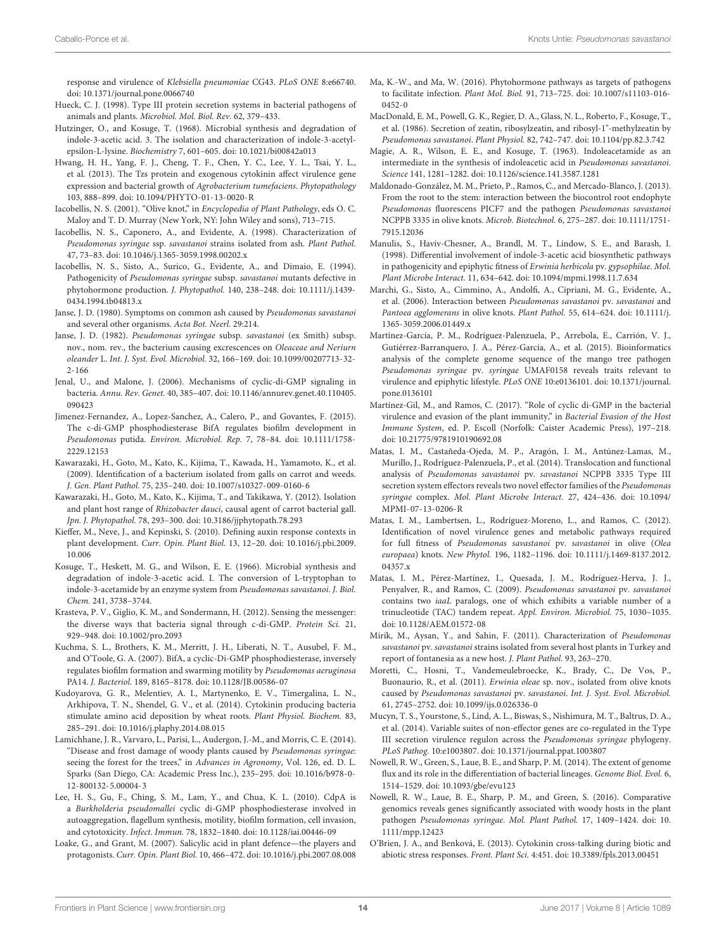response and virulence of Klebsiella pneumoniae CG43. PLoS ONE 8:e66740. [doi: 10.1371/journal.pone.0066740](https://doi.org/10.1371/journal.pone.0066740)

- <span id="page-13-24"></span>Hueck, C. J. (1998). Type III protein secretion systems in bacterial pathogens of animals and plants. Microbiol. Mol. Biol. Rev. 62, 379–433.
- <span id="page-13-19"></span>Hutzinger, O., and Kosuge, T. (1968). Microbial synthesis and degradation of indole-3-acetic acid. 3. The isolation and characterization of indole-3-acetylepsilon-L-lysine. Biochemistry 7, 601–605. [doi: 10.1021/bi00842a013](https://doi.org/10.1021/bi00842a013)
- <span id="page-13-23"></span>Hwang, H. H., Yang, F. J., Cheng, T. F., Chen, Y. C., Lee, Y. L., Tsai, Y. L., et al. (2013). The Tzs protein and exogenous cytokinin affect virulence gene expression and bacterial growth of Agrobacterium tumefaciens. Phytopathology 103, 888–899. [doi: 10.1094/PHYTO-01-13-0020-R](https://doi.org/10.1094/PHYTO-01-13-0020-R)
- <span id="page-13-0"></span>Iacobellis, N. S. (2001). "Olive knot," in Encyclopedia of Plant Pathology, eds O. C. Maloy and T. D. Murray (New York, NY: John Wiley and sons), 713–715.
- <span id="page-13-6"></span>Iacobellis, N. S., Caponero, A., and Evidente, A. (1998). Characterization of Pseudomonas syringae ssp. savastanoi strains isolated from ash. Plant Pathol. 47, 73–83. [doi: 10.1046/j.1365-3059.1998.00202.x](https://doi.org/10.1046/j.1365-3059.1998.00202.x)
- <span id="page-13-9"></span>Iacobellis, N. S., Sisto, A., Surico, G., Evidente, A., and Dimaio, E. (1994). Pathogenicity of Pseudomonas syringae subsp. savastanoi mutants defective in phytohormone production. J. Phytopathol. 140, 238–248. [doi: 10.1111/j.1439-](https://doi.org/10.1111/j.1439-0434.1994.tb04813.x) [0434.1994.tb04813.x](https://doi.org/10.1111/j.1439-0434.1994.tb04813.x)
- <span id="page-13-8"></span>Janse, J. D. (1980). Symptoms on common ash caused by Pseudomonas savastanoi and several other organisms. Acta Bot. Neerl. 29:214.
- <span id="page-13-5"></span>Janse, J. D. (1982). Pseudomonas syringae subsp. savastanoi (ex Smith) subsp. nov., nom. rev., the bacterium causing excrescences on Oleaceae and Neriurn oleander L. Int. J. Syst. Evol. Microbiol. 32, 166–169. [doi: 10.1099/00207713-32-](https://doi.org/10.1099/00207713-32-2-166) [2-166](https://doi.org/10.1099/00207713-32-2-166)
- <span id="page-13-28"></span>Jenal, U., and Malone, J. (2006). Mechanisms of cyclic-di-GMP signaling in bacteria. Annu. Rev. Genet. 40, 385–407. [doi: 10.1146/annurev.genet.40.110405.](https://doi.org/10.1146/annurev.genet.40.110405.090423) [090423](https://doi.org/10.1146/annurev.genet.40.110405.090423)
- <span id="page-13-33"></span>Jimenez-Fernandez, A., Lopez-Sanchez, A., Calero, P., and Govantes, F. (2015). The c-di-GMP phosphodiesterase BifA regulates biofilm development in Pseudomonas putida. Environ. Microbiol. Rep. 7, 78–84. [doi: 10.1111/1758-](https://doi.org/10.1111/1758-2229.12153) [2229.12153](https://doi.org/10.1111/1758-2229.12153)
- <span id="page-13-1"></span>Kawarazaki, H., Goto, M., Kato, K., Kijima, T., Kawada, H., Yamamoto, K., et al. (2009). Identification of a bacterium isolated from galls on carrot and weeds. J. Gen. Plant Pathol. 75, 235–240. [doi: 10.1007/s10327-009-0160-6](https://doi.org/10.1007/s10327-009-0160-6)
- <span id="page-13-2"></span>Kawarazaki, H., Goto, M., Kato, K., Kijima, T., and Takikawa, Y. (2012). Isolation and plant host range of Rhizobacter dauci, causal agent of carrot bacterial gall. Jpn. J. Phytopathol. 78, 293–300. [doi: 10.3186/jjphytopath.78.293](https://doi.org/10.3186/jjphytopath.78.293)
- <span id="page-13-16"></span>Kieffer, M., Neve, J., and Kepinski, S. (2010). Defining auxin response contexts in plant development. Curr. Opin. Plant Biol. 13, 12–20. [doi: 10.1016/j.pbi.2009.](https://doi.org/10.1016/j.pbi.2009.10.006) [10.006](https://doi.org/10.1016/j.pbi.2009.10.006)
- <span id="page-13-18"></span>Kosuge, T., Heskett, M. G., and Wilson, E. E. (1966). Microbial synthesis and degradation of indole-3-acetic acid. I. The conversion of L-tryptophan to indole-3-acetamide by an enzyme system from Pseudomonas savastanoi. J. Biol. Chem. 241, 3738–3744.
- <span id="page-13-30"></span>Krasteva, P. V., Giglio, K. M., and Sondermann, H. (2012). Sensing the messenger: the diverse ways that bacteria signal through c-di-GMP. Protein Sci. 21, 929–948. [doi: 10.1002/pro.2093](https://doi.org/10.1002/pro.2093)
- <span id="page-13-32"></span>Kuchma, S. L., Brothers, K. M., Merritt, J. H., Liberati, N. T., Ausubel, F. M., and O'Toole, G. A. (2007). BifA, a cyclic-Di-GMP phosphodiesterase, inversely regulates biofilm formation and swarming motility by Pseudomonas aeruginosa PA14. J. Bacteriol. 189, 8165–8178. [doi: 10.1128/JB.00586-07](https://doi.org/10.1128/JB.00586-07)
- <span id="page-13-15"></span>Kudoyarova, G. R., Melentiev, A. I., Martynenko, E. V., Timergalina, L. N., Arkhipova, T. N., Shendel, G. V., et al. (2014). Cytokinin producing bacteria stimulate amino acid deposition by wheat roots. Plant Physiol. Biochem. 83, 285–291. [doi: 10.1016/j.plaphy.2014.08.015](https://doi.org/10.1016/j.plaphy.2014.08.015)
- <span id="page-13-4"></span>Lamichhane, J. R., Varvaro, L., Parisi, L., Audergon, J.-M., and Morris, C. E. (2014). "Disease and frost damage of woody plants caused by Pseudomonas syringae: seeing the forest for the trees," in Advances in Agronomy, Vol. 126, ed. D. L. Sparks (San Diego, CA: Academic Press Inc.), 235–295. [doi: 10.1016/b978-0-](https://doi.org/10.1016/b978-0-12-800132-5.00004-3) [12-800132-5.00004-3](https://doi.org/10.1016/b978-0-12-800132-5.00004-3)
- <span id="page-13-29"></span>Lee, H. S., Gu, F., Ching, S. M., Lam, Y., and Chua, K. L. (2010). CdpA is a Burkholderia pseudomallei cyclic di-GMP phosphodiesterase involved in autoaggregation, flagellum synthesis, motility, biofilm formation, cell invasion, and cytotoxicity. Infect. Immun. 78, 1832–1840. [doi: 10.1128/iai.00446-09](https://doi.org/10.1128/iai.00446-09)
- <span id="page-13-36"></span>Loake, G., and Grant, M. (2007). Salicylic acid in plant defence—the players and protagonists. Curr. Opin. Plant Biol. 10, 466–472. [doi: 10.1016/j.pbi.2007.08.008](https://doi.org/10.1016/j.pbi.2007.08.008)
- <span id="page-13-14"></span>Ma, K.-W., and Ma, W. (2016). Phytohormone pathways as targets of pathogens to facilitate infection. Plant Mol. Biol. 91, 713–725. [doi: 10.1007/s11103-016-](https://doi.org/10.1007/s11103-016-0452-0) [0452-0](https://doi.org/10.1007/s11103-016-0452-0)
- <span id="page-13-21"></span>MacDonald, E. M., Powell, G. K., Regier, D. A., Glass, N. L., Roberto, F., Kosuge, T., et al. (1986). Secretion of zeatin, ribosylzeatin, and ribosyl-1"-methylzeatin by Pseudomonas savastanoi. Plant Physiol. 82, 742–747. [doi: 10.1104/pp.82.3.742](https://doi.org/10.1104/pp.82.3.742)
- <span id="page-13-17"></span>Magie, A. R., Wilson, E. E., and Kosuge, T. (1963). Indoleacetamide as an intermediate in the synthesis of indoleacetic acid in Pseudomonas savastanoi. Science 141, 1281–1282. [doi: 10.1126/science.141.3587.1281](https://doi.org/10.1126/science.141.3587.1281)
- <span id="page-13-12"></span>Maldonado-González, M. M., Prieto, P., Ramos, C., and Mercado-Blanco, J. (2013). From the root to the stem: interaction between the biocontrol root endophyte Pseudomonas fluorescens PICF7 and the pathogen Pseudomonas savastanoi NCPPB 3335 in olive knots. Microb. Biotechnol. 6, 275–287. [doi: 10.1111/1751-](https://doi.org/10.1111/1751-7915.12036) [7915.12036](https://doi.org/10.1111/1751-7915.12036)
- <span id="page-13-22"></span>Manulis, S., Haviv-Chesner, A., Brandl, M. T., Lindow, S. E., and Barash, I. (1998). Differential involvement of indole-3-acetic acid biosynthetic pathways in pathogenicity and epiphytic fitness of Erwinia herbicola pv. gypsophilae. Mol. Plant Microbe Interact. 11, 634–642. [doi: 10.1094/mpmi.1998.11.7.634](https://doi.org/10.1094/mpmi.1998.11.7.634)
- <span id="page-13-34"></span>Marchi, G., Sisto, A., Cimmino, A., Andolfi, A., Cipriani, M. G., Evidente, A., et al. (2006). Interaction between Pseudomonas savastanoi pv. savastanoi and Pantoea agglomerans in olive knots. Plant Pathol. 55, 614–624. [doi: 10.1111/j.](https://doi.org/10.1111/j.1365-3059.2006.01449.x) [1365-3059.2006.01449.x](https://doi.org/10.1111/j.1365-3059.2006.01449.x)
- <span id="page-13-27"></span>Martínez-García, P. M., Rodríguez-Palenzuela, P., Arrebola, E., Carrión, V. J., Gutiérrez-Barranquero, J. A., Pérez-García, A., et al. (2015). Bioinformatics analysis of the complete genome sequence of the mango tree pathogen Pseudomonas syringae pv. syringae UMAF0158 reveals traits relevant to virulence and epiphytic lifestyle. PLoS ONE 10:e0136101. [doi: 10.1371/journal.](https://doi.org/10.1371/journal.pone.0136101) [pone.0136101](https://doi.org/10.1371/journal.pone.0136101)
- <span id="page-13-31"></span>Martínez-Gil, M., and Ramos, C. (2017). "Role of cyclic di-GMP in the bacterial virulence and evasion of the plant immunity," in Bacterial Evasion of the Host Immune System, ed. P. Escoll (Norfolk: Caister Academic Press), 197–218. [doi: 10.21775/9781910190692.08](https://doi.org/10.21775/9781910190692.08)
- <span id="page-13-11"></span>Matas, I. M., Castañeda-Ojeda, M. P., Aragón, I. M., Antúnez-Lamas, M., Murillo, J., Rodríguez-Palenzuela, P., et al. (2014). Translocation and functional analysis of Pseudomonas savastanoi pv. savastanoi NCPPB 3335 Type III secretion system effectors reveals two novel effector families of the Pseudomonas syringae complex. Mol. Plant Microbe Interact. 27, 424–436. [doi: 10.1094/](https://doi.org/10.1094/MPMI-07-13-0206-R) [MPMI-07-13-0206-R](https://doi.org/10.1094/MPMI-07-13-0206-R)
- <span id="page-13-10"></span>Matas, I. M., Lambertsen, L., Rodríguez-Moreno, L., and Ramos, C. (2012). Identification of novel virulence genes and metabolic pathways required for full fitness of Pseudomonas savastanoi pv. savastanoi in olive (Olea europaea) knots. New Phytol. 196, 1182–1196. [doi: 10.1111/j.1469-8137.2012.](https://doi.org/10.1111/j.1469-8137.2012.04357.x) [04357.x](https://doi.org/10.1111/j.1469-8137.2012.04357.x)
- <span id="page-13-20"></span>Matas, I. M., Pérez-Martínez, I., Quesada, J. M., Rodríguez-Herva, J. J., Penyalver, R., and Ramos, C. (2009). Pseudomonas savastanoi pv. savastanoi contains two iaaL paralogs, one of which exhibits a variable number of a trinucleotide (TAC) tandem repeat. Appl. Environ. Microbiol. 75, 1030–1035. [doi: 10.1128/AEM.01572-08](https://doi.org/10.1128/AEM.01572-08)
- <span id="page-13-7"></span>Mirik, M., Aysan, Y., and Sahin, F. (2011). Characterization of Pseudomonas savastanoi pv. savastanoi strains isolated from several host plants in Turkey and report of fontanesia as a new host. J. Plant Pathol. 93, 263–270.
- <span id="page-13-35"></span>Moretti, C., Hosni, T., Vandemeulebroecke, K., Brady, C., De Vos, P., Buonaurio, R., et al. (2011). Erwinia oleae sp. nov., isolated from olive knots caused by Pseudomonas savastanoi pv. savastanoi. Int. J. Syst. Evol. Microbiol. 61, 2745–2752. [doi: 10.1099/ijs.0.026336-0](https://doi.org/10.1099/ijs.0.026336-0)
- <span id="page-13-26"></span>Mucyn, T. S., Yourstone, S., Lind, A. L., Biswas, S., Nishimura, M. T., Baltrus, D. A., et al. (2014). Variable suites of non-effector genes are co-regulated in the Type III secretion virulence regulon across the Pseudomonas syringae phylogeny. PLoS Pathog. 10:e1003807. [doi: 10.1371/journal.ppat.1003807](https://doi.org/10.1371/journal.ppat.1003807)
- <span id="page-13-3"></span>Nowell, R. W., Green, S., Laue, B. E., and Sharp, P. M. (2014). The extent of genome flux and its role in the differentiation of bacterial lineages. Genome Biol. Evol. 6, 1514–1529. [doi: 10.1093/gbe/evu123](https://doi.org/10.1093/gbe/evu123)
- <span id="page-13-25"></span>Nowell, R. W., Laue, B. E., Sharp, P. M., and Green, S. (2016). Comparative genomics reveals genes significantly associated with woody hosts in the plant pathogen Pseudomonas syringae. Mol. Plant Pathol. 17, 1409–1424. [doi: 10.](https://doi.org/10.1111/mpp.12423) [1111/mpp.12423](https://doi.org/10.1111/mpp.12423)
- <span id="page-13-13"></span>O'Brien, J. A., and Benková, E. (2013). Cytokinin cross-talking during biotic and abiotic stress responses. Front. Plant Sci. 4:451. [doi: 10.3389/fpls.2013.00451](https://doi.org/10.3389/fpls.2013.00451)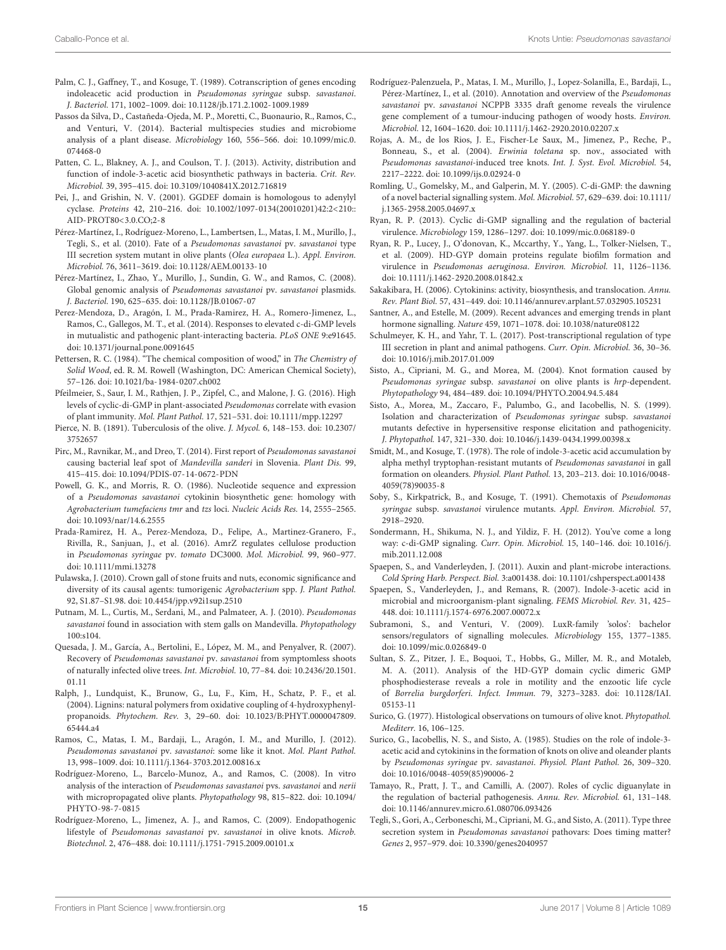- <span id="page-14-19"></span>Palm, C. J., Gaffney, T., and Kosuge, T. (1989). Cotranscription of genes encoding indoleacetic acid production in Pseudomonas syringae subsp. savastanoi. J. Bacteriol. 171, 1002–1009. [doi: 10.1128/jb.171.2.1002-1009.1989](https://doi.org/10.1128/jb.171.2.1002-1009.1989)
- <span id="page-14-38"></span>Passos da Silva, D., Castañeda-Ojeda, M. P., Moretti, C., Buonaurio, R., Ramos, C., and Venturi, V. (2014). Bacterial multispecies studies and microbiome analysis of a plant disease. Microbiology 160, 556–566. [doi: 10.1099/mic.0.](https://doi.org/10.1099/mic.0.074468-0) [074468-0](https://doi.org/10.1099/mic.0.074468-0)
- <span id="page-14-16"></span>Patten, C. L., Blakney, A. J., and Coulson, T. J. (2013). Activity, distribution and function of indole-3-acetic acid biosynthetic pathways in bacteria. Crit. Rev. Microbiol. 39, 395–415. [doi: 10.3109/1040841X.2012.716819](https://doi.org/10.3109/1040841X.2012.716819)
- <span id="page-14-28"></span>Pei, J., and Grishin, N. V. (2001). GGDEF domain is homologous to adenylyl cyclase. Proteins 42, 210–216. [doi: 10.1002/1097-0134\(20010201\)42:2<210::](https://doi.org/10.1002/1097-0134(20010201)42:2<210::AID-PROT80<3.0.CO;2-8) [AID-PROT80<3.0.CO;2-8](https://doi.org/10.1002/1097-0134(20010201)42:2<210::AID-PROT80<3.0.CO;2-8)
- <span id="page-14-12"></span>Pérez-Martínez, I., Rodríguez-Moreno, L., Lambertsen, L., Matas, I. M., Murillo, J., Tegli, S., et al. (2010). Fate of a Pseudomonas savastanoi pv. savastanoi type III secretion system mutant in olive plants (Olea europaea L.). Appl. Environ. Microbiol. 76, 3611–3619. [doi: 10.1128/AEM.00133-10](https://doi.org/10.1128/AEM.00133-10)
- <span id="page-14-20"></span>Pérez-Martínez, I., Zhao, Y., Murillo, J., Sundin, G. W., and Ramos, C. (2008). Global genomic analysis of Pseudomonas savastanoi pv. savastanoi plasmids. J. Bacteriol. 190, 625–635. [doi: 10.1128/JB.01067-07](https://doi.org/10.1128/JB.01067-07)
- <span id="page-14-13"></span>Perez-Mendoza, D., Aragón, I. M., Prada-Ramirez, H. A., Romero-Jimenez, L., Ramos, C., Gallegos, M. T., et al. (2014). Responses to elevated c-di-GMP levels in mutualistic and pathogenic plant-interacting bacteria. PLoS ONE 9:e91645. [doi: 10.1371/journal.pone.0091645](https://doi.org/10.1371/journal.pone.0091645)
- <span id="page-14-37"></span>Pettersen, R. C. (1984). "The chemical composition of wood," in The Chemistry of Solid Wood, ed. R. M. Rowell (Washington, DC: American Chemical Society), 57–126. [doi: 10.1021/ba-1984-0207.ch002](https://doi.org/10.1021/ba-1984-0207.ch002)
- <span id="page-14-34"></span>Pfeilmeier, S., Saur, I. M., Rathjen, J. P., Zipfel, C., and Malone, J. G. (2016). High levels of cyclic-di-GMP in plant-associated Pseudomonas correlate with evasion of plant immunity. Mol. Plant Pathol. 17, 521–531. [doi: 10.1111/mpp.12297](https://doi.org/10.1111/mpp.12297)
- <span id="page-14-0"></span>Pierce, N. B. (1891). Tuberculosis of the olive. J. Mycol. 6, 148–153. [doi: 10.2307/](https://doi.org/10.2307/3752657) [3752657](https://doi.org/10.2307/3752657)
- <span id="page-14-4"></span>Pirc, M., Ravnikar, M., and Dreo, T. (2014). First report of Pseudomonas savastanoi causing bacterial leaf spot of Mandevilla sanderi in Slovenia. Plant Dis. 99, 415–415. [doi: 10.1094/PDIS-07-14-0672-PDN](https://doi.org/10.1094/PDIS-07-14-0672-PDN)
- <span id="page-14-23"></span>Powell, G. K., and Morris, R. O. (1986). Nucleotide sequence and expression of a Pseudomonas savastanoi cytokinin biosynthetic gene: homology with Agrobacterium tumefaciens tmr and tzs loci. Nucleic Acids Res. 14, 2555–2565. [doi: 10.1093/nar/14.6.2555](https://doi.org/10.1093/nar/14.6.2555)
- <span id="page-14-35"></span>Prada-Ramirez, H. A., Perez-Mendoza, D., Felipe, A., Martinez-Granero, F., Rivilla, R., Sanjuan, J., et al. (2016). AmrZ regulates cellulose production in Pseudomonas syringae pv. tomato DC3000. Mol. Microbiol. 99, 960–977. [doi: 10.1111/mmi.13278](https://doi.org/10.1111/mmi.13278)
- <span id="page-14-1"></span>Pulawska, J. (2010). Crown gall of stone fruits and nuts, economic significance and diversity of its causal agents: tumorigenic Agrobacterium spp. J. Plant Pathol. 92, S1.87–S1.98. [doi: 10.4454/jpp.v92i1sup.2510](https://doi.org/10.4454/jpp.v92i1sup.2510)
- <span id="page-14-3"></span>Putnam, M. L., Curtis, M., Serdani, M., and Palmateer, A. J. (2010). Pseudomonas savastanoi found in association with stem galls on Mandevilla. Phytopathology 100:s104.
- <span id="page-14-7"></span>Quesada, J. M., García, A., Bertolini, E., López, M. M., and Penyalver, R. (2007). Recovery of Pseudomonas savastanoi pv. savastanoi from symptomless shoots of naturally infected olive trees. Int. Microbiol. 10, 77–84. [doi: 10.2436/20.1501.](https://doi.org/10.2436/20.1501.01.11) [01.11](https://doi.org/10.2436/20.1501.01.11)
- <span id="page-14-36"></span>Ralph, J., Lundquist, K., Brunow, G., Lu, F., Kim, H., Schatz, P. F., et al. (2004). Lignins: natural polymers from oxidative coupling of 4-hydroxyphenylpropanoids. Phytochem. Rev. 3, 29–60. [doi: 10.1023/B:PHYT.0000047809.](https://doi.org/10.1023/B:PHYT.0000047809.65444.a4) [65444.a4](https://doi.org/10.1023/B:PHYT.0000047809.65444.a4)
- <span id="page-14-2"></span>Ramos, C., Matas, I. M., Bardaji, L., Aragón, I. M., and Murillo, J. (2012). Pseudomonas savastanoi pv. savastanoi: some like it knot. Mol. Plant Pathol. 13, 998–1009. [doi: 10.1111/j.1364-3703.2012.00816.x](https://doi.org/10.1111/j.1364-3703.2012.00816.x)
- <span id="page-14-5"></span>Rodríguez-Moreno, L., Barcelo-Munoz, A., and Ramos, C. (2008). In vitro analysis of the interaction of Pseudomonas savastanoi pvs. savastanoi and nerii with micropropagated olive plants. Phytopathology 98, 815–822. [doi: 10.1094/](https://doi.org/10.1094/PHYTO-98-7-0815) [PHYTO-98-7-0815](https://doi.org/10.1094/PHYTO-98-7-0815)
- <span id="page-14-6"></span>Rodríguez-Moreno, L., Jimenez, A. J., and Ramos, C. (2009). Endopathogenic lifestyle of Pseudomonas savastanoi pv. savastanoi in olive knots. Microb. Biotechnol. 2, 476–488. [doi: 10.1111/j.1751-7915.2009.00101.x](https://doi.org/10.1111/j.1751-7915.2009.00101.x)
- <span id="page-14-21"></span>Rodríguez-Palenzuela, P., Matas, I. M., Murillo, J., Lopez-Solanilla, E., Bardaji, L., Pérez-Martínez, I., et al. (2010). Annotation and overview of the Pseudomonas savastanoi pv. savastanoi NCPPB 3335 draft genome reveals the virulence gene complement of a tumour-inducing pathogen of woody hosts. Environ. Microbiol. 12, 1604–1620. [doi: 10.1111/j.1462-2920.2010.02207.x](https://doi.org/10.1111/j.1462-2920.2010.02207.x)
- <span id="page-14-39"></span>Rojas, A. M., de los Rios, J. E., Fischer-Le Saux, M., Jimenez, P., Reche, P., Bonneau, S., et al. (2004). Erwinia toletana sp. nov., associated with Pseudomonas savastanoi-induced tree knots. Int. J. Syst. Evol. Microbiol. 54, 2217–2222. [doi: 10.1099/ijs.0.02924-0](https://doi.org/10.1099/ijs.0.02924-0)
- <span id="page-14-31"></span>Romling, U., Gomelsky, M., and Galperin, M. Y. (2005). C-di-GMP: the dawning of a novel bacterial signalling system. Mol. Microbiol. 57, 629–639. [doi: 10.1111/](https://doi.org/10.1111/j.1365-2958.2005.04697.x) [j.1365-2958.2005.04697.x](https://doi.org/10.1111/j.1365-2958.2005.04697.x)
- <span id="page-14-33"></span>Ryan, R. P. (2013). Cyclic di-GMP signalling and the regulation of bacterial virulence. Microbiology 159, 1286–1297. [doi: 10.1099/mic.0.068189-0](https://doi.org/10.1099/mic.0.068189-0)
- <span id="page-14-29"></span>Ryan, R. P., Lucey, J., O'donovan, K., Mccarthy, Y., Yang, L., Tolker-Nielsen, T., et al. (2009). HD-GYP domain proteins regulate biofilm formation and virulence in Pseudomonas aeruginosa. Environ. Microbiol. 11, 1126–1136. [doi: 10.1111/j.1462-2920.2008.01842.x](https://doi.org/10.1111/j.1462-2920.2008.01842.x)
- <span id="page-14-22"></span>Sakakibara, H. (2006). Cytokinins: activity, biosynthesis, and translocation. Annu. Rev. Plant Biol. 57, 431–449. [doi: 10.1146/annurev.arplant.57.032905.105231](https://doi.org/10.1146/annurev.arplant.57.032905.105231)
- <span id="page-14-14"></span>Santner, A., and Estelle, M. (2009). Recent advances and emerging trends in plant hormone signalling. Nature 459, 1071–1078. [doi: 10.1038/nature08122](https://doi.org/10.1038/nature08122)
- <span id="page-14-24"></span>Schulmeyer, K. H., and Yahr, T. L. (2017). Post-transcriptional regulation of type III secretion in plant and animal pathogens. Curr. Opin. Microbiol. 36, 30–36. [doi: 10.1016/j.mib.2017.01.009](https://doi.org/10.1016/j.mib.2017.01.009)
- <span id="page-14-11"></span>Sisto, A., Cipriani, M. G., and Morea, M. (2004). Knot formation caused by Pseudomonas syringae subsp. savastanoi on olive plants is hrp-dependent. Phytopathology 94, 484–489. [doi: 10.1094/PHYTO.2004.94.5.484](https://doi.org/10.1094/PHYTO.2004.94.5.484)
- <span id="page-14-26"></span>Sisto, A., Morea, M., Zaccaro, F., Palumbo, G., and Iacobellis, N. S. (1999). Isolation and characterization of Pseudomonas syringae subsp. savastanoi mutants defective in hypersensitive response elicitation and pathogenicity. J. Phytopathol. 147, 321–330. [doi: 10.1046/j.1439-0434.1999.00398.x](https://doi.org/10.1046/j.1439-0434.1999.00398.x)
- <span id="page-14-18"></span>Smidt, M., and Kosuge, T. (1978). The role of indole-3-acetic acid accumulation by alpha methyl tryptophan-resistant mutants of Pseudomonas savastanoi in gall formation on oleanders. Physiol. Plant Pathol. 13, 203–213. [doi: 10.1016/0048-](https://doi.org/10.1016/0048-4059(78)90035-8) [4059\(78\)90035-8](https://doi.org/10.1016/0048-4059(78)90035-8)
- <span id="page-14-10"></span>Soby, S., Kirkpatrick, B., and Kosuge, T. (1991). Chemotaxis of Pseudomonas syringae subsp. savastanoi virulence mutants. Appl. Environ. Microbiol. 57, 2918–2920.
- <span id="page-14-32"></span>Sondermann, H., Shikuma, N. J., and Yildiz, F. H. (2012). You've come a long way: c-di-GMP signaling. Curr. Opin. Microbiol. 15, 140–146. [doi: 10.1016/j.](https://doi.org/10.1016/j.mib.2011.12.008) [mib.2011.12.008](https://doi.org/10.1016/j.mib.2011.12.008)
- <span id="page-14-15"></span>Spaepen, S., and Vanderleyden, J. (2011). Auxin and plant-microbe interactions. Cold Spring Harb. Perspect. Biol. 3:a001438. [doi: 10.1101/cshperspect.a001438](https://doi.org/10.1101/cshperspect.a001438)
- <span id="page-14-17"></span>Spaepen, S., Vanderleyden, J., and Remans, R. (2007). Indole-3-acetic acid in microbial and microorganism-plant signaling. FEMS Microbiol. Rev. 31, 425– 448. [doi: 10.1111/j.1574-6976.2007.00072.x](https://doi.org/10.1111/j.1574-6976.2007.00072.x)
- <span id="page-14-40"></span>Subramoni, S., and Venturi, V. (2009). LuxR-family 'solos': bachelor sensors/regulators of signalling molecules. Microbiology 155, 1377–1385. [doi: 10.1099/mic.0.026849-0](https://doi.org/10.1099/mic.0.026849-0)
- <span id="page-14-30"></span>Sultan, S. Z., Pitzer, J. E., Boquoi, T., Hobbs, G., Miller, M. R., and Motaleb, M. A. (2011). Analysis of the HD-GYP domain cyclic dimeric GMP phosphodiesterase reveals a role in motility and the enzootic life cycle of Borrelia burgdorferi. Infect. Immun. 79, 3273–3283. [doi: 10.1128/IAI.](https://doi.org/10.1128/IAI.05153-11) [05153-11](https://doi.org/10.1128/IAI.05153-11)
- <span id="page-14-8"></span>Surico, G. (1977). Histological observations on tumours of olive knot. Phytopathol. Mediterr. 16, 106–125.
- <span id="page-14-9"></span>Surico, G., Iacobellis, N. S., and Sisto, A. (1985). Studies on the role of indole-3 acetic acid and cytokinins in the formation of knots on olive and oleander plants by Pseudomonas syringae pv. savastanoi. Physiol. Plant Pathol. 26, 309–320. [doi: 10.1016/0048-4059\(85\)90006-2](https://doi.org/10.1016/0048-4059(85)90006-2)
- <span id="page-14-27"></span>Tamayo, R., Pratt, J. T., and Camilli, A. (2007). Roles of cyclic diguanylate in the regulation of bacterial pathogenesis. Annu. Rev. Microbiol. 61, 131–148. [doi: 10.1146/annurev.micro.61.080706.093426](https://doi.org/10.1146/annurev.micro.61.080706.093426)
- <span id="page-14-25"></span>Tegli, S., Gori, A., Cerboneschi, M., Cipriani, M. G., and Sisto, A. (2011). Type three secretion system in Pseudomonas savastanoi pathovars: Does timing matter? Genes 2, 957–979. [doi: 10.3390/genes2040957](https://doi.org/10.3390/genes2040957)